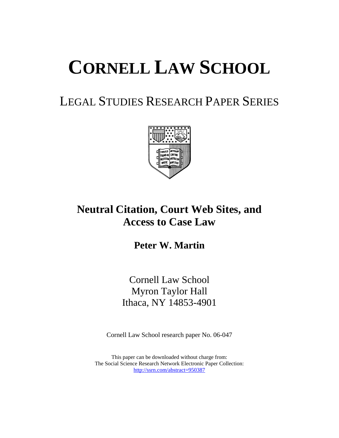# **CORNELL LAW SCHOOL**

# LEGAL STUDIES RESEARCH PAPER SERIES



# **Neutral Citation, Court Web Sites, and Access to Case Law**

**Peter W. Martin**

Cornell Law School Myron Taylor Hall Ithaca, NY 14853-4901

Cornell Law School research paper No. 06-047

This paper can be downloaded without charge from: The Social Science Research Network Electronic Paper Collection: http://ssrn.com/abstract=950387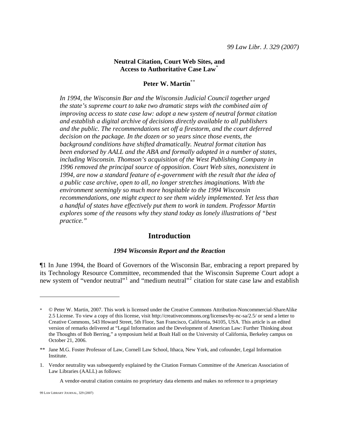### **Neutral Citation, Court Web Sites, and Access to Authoritative Case Law**[\\*](#page-1-0)

# **Peter W. Martin**\*[\\*](#page-1-1)

*In 1994, the Wisconsin Bar and the Wisconsin Judicial Council together urged the state's supreme court to take two dramatic steps with the combined aim of improving access to state case law: adopt a new system of neutral format citation and establish a digital archive of decisions directly available to all publishers and the public. The recommendations set off a firestorm, and the court deferred decision on the package. In the dozen or so years since those events, the background conditions have shifted dramatically. Neutral format citation has been endorsed by AALL and the ABA and formally adopted in a number of states, including Wisconsin. Thomson's acquisition of the West Publishing Company in 1996 removed the principal source of opposition. Court Web sites, nonexistent in 1994, are now a standard feature of e-government with the result that the idea of a public case archive, open to all, no longer stretches imaginations. With the environment seemingly so much more hospitable to the 1994 Wisconsin recommendations, one might expect to see them widely implemented. Yet less than a handful of states have effectively put them to work in tandem. Professor Martin explores some of the reasons why they stand today as lonely illustrations of "best practice."*

# **Introduction**

#### *1994 Wisconsin Report and the Reaction*

<span id="page-1-3"></span>¶1 In June 1994, the Board of Governors of the Wisconsin Bar, embracing a report prepared by its Technology Resource Committee, recommended that the Wisconsin Supreme Court adopt a new system of "vendor neutral"<sup>[1](#page-1-2)</sup> and "medium neutral"<sup>[2](#page-1-3)</sup> citation for state case law and establish

A vendor-neutral citation contains no proprietary data elements and makes no reference to a proprietary

<span id="page-1-0"></span><sup>\* ©</sup> Peter W. Martin, 2007. This work is licensed under the Creative Commons Attribution-Noncommercial-ShareAlike 2.5 License. To view a copy of this license, visit http://creativecommons.org/licenses/by-nc-sa/2.5/ or send a letter to Creative Commons, 543 Howard Street, 5th Floor, San Francisco, California, 94105, USA. This article is an edited version of remarks delivered at "Legal Information and the Development of American Law: Further Thinking about the Thoughts of Bob Berring," a symposium held at Boalt Hall on the University of California, Berkeley campus on October 21, 2006.

<span id="page-1-1"></span><sup>\*\*</sup> Jane M.G. Foster Professor of Law, Cornell Law School, Ithaca, New York, and cofounder, Legal Information Institute.

<span id="page-1-2"></span><sup>1.</sup> Vendor neutrality was subsequently explained by the Citation Formats Committee of the American Association of Law Libraries (AALL) as follows: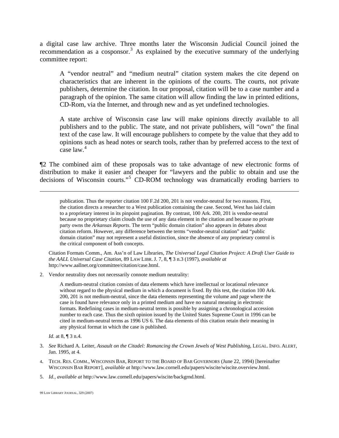a digital case law archive. Three months later the Wisconsin Judicial Council joined the recommendation as a cosponsor.<sup>[3](#page-2-0)</sup> As explained by the executive summary of the underlying committee report:

A "vendor neutral" and "medium neutral" citation system makes the cite depend on characteristics that are inherent in the opinions of the courts. The courts, not private publishers, determine the citation. In our proposal, citation will be to a case number and a paragraph of the opinion. The same citation will allow finding the law in printed editions, CD-Rom, via the Internet, and through new and as yet undefined technologies.

A state archive of Wisconsin case law will make opinions directly available to all publishers and to the public. The state, and not private publishers, will "own" the final text of the case law. It will encourage publishers to compete by the value that they add to opinions such as head notes or search tools, rather than by preferred access to the text of case law.[4](#page-2-1)

¶2 The combined aim of these proposals was to take advantage of new electronic forms of distribution to make it easier and cheaper for "lawyers and the public to obtain and use the decisions of Wisconsin courts."<sup>[5](#page-2-2)</sup> CD-ROM technology was dramatically eroding barriers to

publication. Thus the reporter citation 100 F.2d 200, 201 is not vendor-neutral for two reasons. First, the citation directs a researcher to a West publication containing the case. Second, West has laid claim to a proprietary interest in its pinpoint pagination. By contrast, 100 Ark. 200, 201 is vendor-neutral because no proprietary claim clouds the use of any data element in the citation and because no private party owns the *Arkansas Reports*. The term "public domain citation" also appears in debates about citation reform. However, any difference between the terms "vendor-neutral citation" and "public domain citation" may not represent a useful distinction, since the absence of any proprietary control is the critical component of both concepts.

Citation Formats Comm., Am. Ass'n of Law Libraries, *The Universal Legal Citation Project: A Draft User Guide to the AALL Universal Case Citation*, 89 LAW LIBR. J. 7, 8, ¶ 3 n.3 (1997), *available at* http://www.aallnet.org/committee/citation/case.html.

2. Vendor neutrality does not necessarily connote medium neutrality:

A medium-neutral citation consists of data elements which have intellectual or locational relevance without regard to the physical medium in which a document is fixed. By this test, the citation 100 Ark. 200, 201 is not medium-neutral, since the data elements representing the volume and page where the case is found have relevance only in a printed medium and have no natural meaning in electronic formats. Redefining cases in medium-neutral terms is possible by assigning a chronological accession number to each case. Thus the sixth opinion issued by the United States Supreme Court in 1996 can be cited in medium-neutral terms as 1996 US 6. The data elements of this citation retain their meaning in any physical format in which the case is published.

*Id*. at 8, ¶ 3 n.4.

- <span id="page-2-0"></span>3. *See* Richard A. Leiter, *Assault on the Citadel: Romancing the Crown Jewels of West Publishing*, LEGAL. INFO. ALERT, Jan. 1995, at 4.
- <span id="page-2-1"></span>4. TECH. RES. COMM., WISCONSIN BAR, REPORT TO THE BOARD OF BAR GOVERNORS (June 22, 1994) [hereinafter WISCONSIN BAR REPORT], *available at* http://www.law.cornell.edu/papers/wiscite/wiscite.overview.html.
- <span id="page-2-2"></span>5. *Id.*, *available at* http://www.law.cornell.edu/papers/wiscite/backgrnd.html.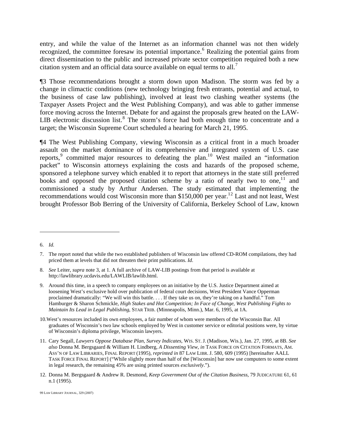entry, and while the value of the Internet as an information channel was not then widely recognized, the committee foresaw its potential importance.<sup>[6](#page-3-0)</sup> Realizing the potential gains from direct dissemination to the public and increased private sector competition required both a new citation system and an official data source available on equal terms to all.<sup>[7](#page-3-1)</sup>

¶3 Those recommendations brought a storm down upon Madison. The storm was fed by a change in climactic conditions (new technology bringing fresh entrants, potential and actual, to the business of case law publishing), involved at least two clashing weather systems (the Taxpayer Assets Project and the West Publishing Company), and was able to gather immense force moving across the Internet. Debate for and against the proposals grew heated on the LAW-LIB electronic discussion list.<sup>[8](#page-3-2)</sup> The storm's force had both enough time to concentrate and a target; the Wisconsin Supreme Court scheduled a hearing for March 21, 1995.

¶4 The West Publishing Company, viewing Wisconsin as a critical front in a much broader assault on the market dominance of its comprehensive and integrated system of U.S. case reports, committed major resources to defeating the plan.<sup>1[0](#page-3-4)</sup> West mailed an "information" packet" to Wisconsin attorneys explaining the costs and hazards of the proposed scheme, sponsored a telephone survey which enabled it to report that attorneys in the state still preferred books and opposed the proposed citation scheme by a ratio of nearly two to one, $11$  $11$  and commissioned a study by Arthur Andersen. The study estimated that implementing the recommendations would cost Wisconsin more than \$150,000 per year.<sup>1[2](#page-3-6)</sup> Last and not least, West brought Professor Bob Berring of the University of California, Berkeley School of Law, known

<span id="page-3-0"></span><sup>6.</sup> *Id.*

<span id="page-3-1"></span><sup>7.</sup> The report noted that while the two established publishers of Wisconsin law offered CD-ROM compilations, they had priced them at levels that did not threaten their print publications. *Id*.

<span id="page-3-2"></span><sup>8.</sup> *See* Leiter, *supra* note 3, at 1. A full archive of LAW-LIB postings from that period is available at http://lawlibrary.ucdavis.edu/LAWLIB/lawlib.html.

<span id="page-3-3"></span><sup>9.</sup> Around this time, in a speech to company employees on an initiative by the U.S. Justice Department aimed at loosening West's exclusive hold over publication of federal court decisions, West President Vance Opperman proclaimed dramatically: "We will win this battle. . . . If they take us on, they're taking on a handful." Tom Hamburger & Sharon Schmickle, *High Stakes and Hot Competition; In Face of Change, West Publishing Fights to Maintain Its Lead in Legal Publishing*, STAR TRIB. (Minneapolis, Minn.), Mar. 6, 1995, at 1A.

<span id="page-3-4"></span><sup>10.</sup> West's resources included its own employees, a fair number of whom were members of the Wisconsin Bar. All graduates of Wisconsin's two law schools employed by West in customer service or editorial positions were, by virtue of Wisconsin's diploma privilege, Wisconsin lawyers.

<span id="page-3-5"></span><sup>11.</sup> Cary Segall, *Lawyers Oppose Database Plan, Survey Indicates*, WIS. ST. J. (Madison, Wis.), Jan. 27, 1995, at 8B. *See also* Donna M. Bergsgaard & William H. Lindberg, *A Dissenting View*, *in* TASK FORCE ON CITATION FORMATS, AM. ASS'N OF LAW LIBRARIES, FINAL REPORT (1995), *reprinted in* 87 LAW LIBR. J. 580, 609 (1995) [hereinafter AALL TASK FORCE FINAL REPORT] ("While slightly more than half of the [Wisconsin] bar now use computers to some extent in legal research, the remaining 45% are using printed sources *exclusively*.").

<span id="page-3-6"></span><sup>12.</sup> Donna M. Bergsgaard & Andrew R. Desmond, *Keep Government Out of the Citation Business*, 79 JUDICATURE 61, 61 n.1 (1995).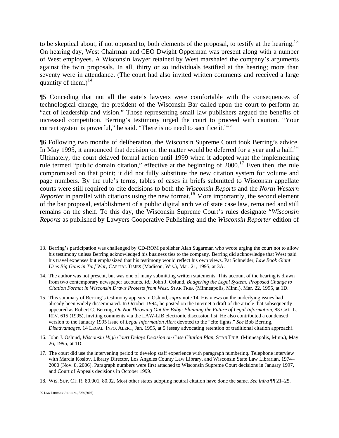to be skeptical about, if not opposed to, both elements of the proposal, to testify at the hearing.<sup>1[3](#page-4-0)</sup> On hearing day, West Chairman and CEO Dwight Opperman was present along with a number of West employees. A Wisconsin lawyer retained by West marshaled the company's arguments against the twin proposals. In all, thirty or so individuals testified at the hearing; more than seventy were in attendance. (The court had also invited written comments and received a large quantity of them.)<sup>1[4](#page-4-1)</sup>

¶5 Conceding that not all the state's lawyers were comfortable with the consequences of technological change, the president of the Wisconsin Bar called upon the court to perform an "act of leadership and vision." Those representing small law publishers argued the benefits of increased competition. Berring's testimony urged the court to proceed with caution. "Your current system is powerful," he said. "There is no need to sacrifice it."<sup>1[5](#page-4-2)</sup>

¶6 Following two months of deliberation, the Wisconsin Supreme Court took Berring's advice. In May 1995, it announced that decision on the matter would be deferred for a year and a half.<sup>1[6](#page-4-3)</sup> Ultimately, the court delayed formal action until 1999 when it adopted what the implementing rule termed "public domain citation," effective at the beginning of  $2000$ .<sup>1[7](#page-4-4)</sup> Even then, the rule compromised on that point; it did not fully substitute the new citation system for volume and page numbers. By the rule's terms, tables of cases in briefs submitted to Wisconsin appellate courts were still required to cite decisions to both the *Wisconsin Reports* and the *North Western Reporter* in parallel with citations using the new format.<sup>1[8](#page-4-5)</sup> More importantly, the second element of the bar proposal, establishment of a public digital archive of state case law, remained and still remains on the shelf. To this day, the Wisconsin Supreme Court's rules designate "*Wisconsin Reports* as published by Lawyers Cooperative Publishing and the *Wisconsin Reporter* edition of

<span id="page-4-0"></span><sup>13.</sup> Berring's participation was challenged by CD-ROM publisher Alan Sugarman who wrote urging the court not to allow his testimony unless Berring acknowledged his business ties to the company. Berring did acknowledge that West paid his travel expenses but emphasized that his testimony would reflect his own views. Pat Schneider, *Law Book Giant Uses Big Guns in Turf War*, CAPITAL TIMES (Madison, Wis.), Mar. 21, 1995, at 3A.

<span id="page-4-1"></span><sup>14.</sup> The author was not present, but was one of many submitting written statements. This account of the hearing is drawn from two contemporary newspaper accounts. *Id.*; John J. Oslund, *Badgering the Legal System; Proposed Change to Citation Format in Wisconsin Draws Protests from West*, STAR TRIB. (Minneapolis, Minn.), Mar. 22, 1995, at 1D.

<span id="page-4-2"></span><sup>15.</sup> This summary of Berring's testimony appears in Oslund, *supra* note 14. His views on the underlying issues had already been widely disseminated. In October 1994, he posted on the Internet a draft of the article that subsequently appeared as Robert C. Berring, *On Not Throwing Out the Baby: Planning the Future of Legal Information*, 83 CAL. L. REV. 615 (1995), inviting comments via the LAW-LIB electronic discussion list. He also contributed a condensed version to the January 1995 issue of *Legal Information Alert* devoted to the "cite fights." *See* Bob Berring, *Disadvantages*, 14 LEGAL. INFO. ALERT, Jan. 1995, at 5 (essay advocating retention of traditional citation approach).

<span id="page-4-3"></span><sup>16.</sup> John J. Oslund, *Wisconsin High Court Delays Decision on Case Citation Plan*, STAR TRIB. (Minneapolis, Minn.), May 26, 1995, at 1D.

<span id="page-4-4"></span><sup>17.</sup> The court did use the intervening period to develop staff experience with paragraph numbering. Telephone interview with Marcia Koslov, Library Director, Los Angeles County Law Library, and Wisconsin State Law Librarian, 1974– 2000 (Nov. 8, 2006). Paragraph numbers were first attached to Wisconsin Supreme Court decisions in January 1997, and Court of Appeals decisions in October 1999.

<span id="page-4-5"></span><sup>18.</sup> WIS. SUP. CT. R. 80.001, 80.02. Most other states adopting neutral citation have done the same. *See infra* ¶¶ 21–25.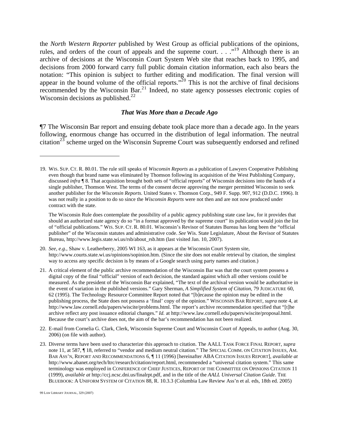the *North Western Reporter* published by West Group as official publications of the opinions, rules, and orders of the court of appeals and the supreme court. . . .<sup>1[9](#page-5-0)</sup> Although there is an archive of decisions at the Wisconsin Court System Web site that reaches back to 1995, and decisions from 2000 forward carry full public domain citation information, each also bears the notation: "This opinion is subject to further editing and modification. The final version will appear in the bound volume of the official reports."<sup>2[0](#page-5-1)</sup> This is not the archive of final decisions recommended by the Wisconsin Bar.<sup>2[1](#page-5-2)</sup> Indeed, no state agency possesses electronic copies of Wisconsin decisions as published. $2^2$  $2^2$ 

#### *That Was More than a Decade Ago*

¶7 The Wisconsin Bar report and ensuing debate took place more than a decade ago. In the years following, enormous change has occurred in the distribution of legal information. The neutral citation<sup>2[3](#page-5-4)</sup> scheme urged on the Wisconsin Supreme Court was subsequently endorsed and refined

The Wisconsin Rule does contemplate the possibility of a public agency publishing state case law, for it provides that should an authorized state agency do so "in a format approved by the supreme court" its publication would join the list of "official publications." WIS. SUP. CT. R. 80.01. Wisconsin's Revisor of Statutes Bureau has long been the "official publisher" of the Wisconsin statutes and administrative code. *See* Wis. State Legislature, About the Revisor of Statutes Bureau, http://www.legis.state.wi.us/rsb/about\_rsb.htm (last visited Jan. 10, 2007).

- <span id="page-5-1"></span>20. *See, e.g.*, Shaw v. Leatherberry, 2005 WI 163, as it appears at the Wisconsin Court System site, http://www.courts.state.wi.us/opinions/sopinion.htm. (Since the site does not enable retrieval by citation, the simplest way to access any specific decision is by means of a Google search using party names and citation.)
- <span id="page-5-2"></span>21. A critical element of the public archive recommendation of the Wisconsin Bar was that the court system possess a digital copy of the final "official" version of each decision, the standard against which all other versions could be measured. As the president of the Wisconsin Bar explained, "The text of the archival version would be authoritative in the event of variation in the published versions." Gary Sherman, *A Simplified System of Citation*, 79 JUDICATURE 60, 62 (1995). The Technology Resource Committee Report noted that "[b]ecause the opinion may be edited in the publishing process, the State does not possess a 'final' copy of the opinion." WISCONSIN BAR REPORT, *supra* note 4, at http://www.law.cornell.edu/papers/wiscite/problems.html. The report's archive recommendation specified that "[t]he archive reflect any post issuance editorial changes." *Id.* at http://www.law.cornell.edu/papers/wiscite/proposal.html. Because the court's archive does not, the aim of the bar's recommendation has not been realized.
- <span id="page-5-3"></span>22. E-mail from Cornelia G. Clark, Clerk, Wisconsin Supreme Court and Wisconsin Court of Appeals, to author (Aug. 30, 2006) (on file with author).
- <span id="page-5-4"></span>23. Diverse terms have been used to characterize this approach to citation. The AALL TASK FORCE FINAL REPORT, *supra* note 11, at 587, ¶ 18, referred to "vendor and medium neutral citation." The SPECIAL COMM. ON CITATION ISSUES, AM. BAR ASS'N, REPORT AND RECOMMENDATIONS 6, ¶ 11 (1996) [hereinafter ABA CITATION ISSUES REPORT], *available at*  http://www.abanet.org/tech/ltrc/research/citation/report.html, recommended a "universal citation system." This same terminology was employed in CONFERENCE OF CHIEF JUSTICES, REPORT OF THE COMMITTEE ON OPINIONS CITATION 11 (1999), *available at* http://ccj.ncsc.dni.us/finalrpt.pdf, and in the title of the *AALL Universal Citation Guide*. THE BLUEBOOK: A UNIFORM SYSTEM OF CITATION 88, R. 10.3.3 (Columbia Law Review Ass'n et al. eds, 18th ed. 2005)

<span id="page-5-0"></span><sup>19.</sup> WIS. SUP. CT. R. 80.01. The rule still speaks of *Wisconsin Reports* as a publication of Lawyers Cooperative Publishing even though that brand name was eliminated by Thomson following its acquisition of the West Publishing Company, discussed *infra* ¶ 8. That acquisition brought both sets of "official reports" of Wisconsin decisions into the hands of a single publisher, Thomson West. The terms of the consent decree approving the merger permitted Wisconsin to seek another publisher for the *Wisconsin Reports*. United States v. Thomson Corp., 949 F. Supp. 907, 912 (D.D.C. 1996). It was not really in a position to do so since the *Wisconsin Reports* were not then and are not now produced under contract with the state.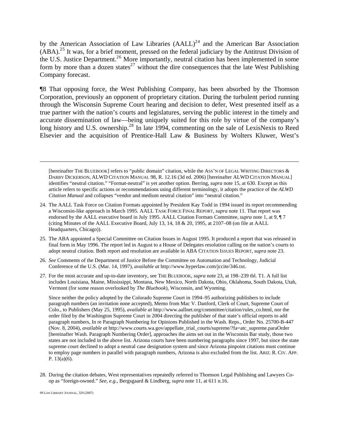by the American Association of Law Libraries  $(AALL)^{24}$  $(AALL)^{24}$  $(AALL)^{24}$  and the American Bar Association  $(ABA)$ <sup>2[5](#page-6-1)</sup> It was, for a brief moment, pressed on the federal judiciary by the Antitrust Division of the U.S. Justice Department.<sup>2[6](#page-6-2)</sup> More importantly, neutral citation has been implemented in some form by more than a dozen states $^{27}$  $^{27}$  $^{27}$  without the dire consequences that the late West Publishing Company forecast.

¶8 That opposing force, the West Publishing Company, has been absorbed by the Thomson Corporation, previously an opponent of proprietary citation. During the turbulent period running through the Wisconsin Supreme Court hearing and decision to defer, West presented itself as a true partner with the nation's courts and legislatures, serving the public interest in the timely and accurate dissemination of law—being uniquely suited for this role by virtue of the company's long history and U.S. ownership.<sup>2[8](#page-6-4)</sup> In late 1994, commenting on the sale of LexisNexis to Reed Elsevier and the acquisition of Prentice-Hall Law & Business by Wolters Kluwer, West's

[hereinafter THE BLUEBOOK] refers to "public domain" citation, while the ASS'N OF LEGAL WRITING DIRECTORS & DARBY DICKERSON, ALWD CITATION MANUAL 98, R. 12.16 (3d ed. 2006) [hereinafter ALWD CITATION MANUAL] identifies "neutral citation." "Format-neutral" is yet another option. Berring, *supra* note 15, at 630. Except as this article refers to specific actions or recommendations using different terminology, it adopts the practice of the *ALWD Citation Manual* and collapses "vendor and medium neutral citation" into "neutral citation."

- <span id="page-6-0"></span>24. The AALL Task Force on Citation Formats appointed by President Kay Todd in 1994 issued its report recommending a Wisconsin-like approach in March 1995. AALL TASK FORCE FINAL REPORT, *supra* note 11. That report was endorsed by the AALL executive board in July 1995. AALL Citation Formats Committee, *supra* note 1, at 9, ¶ 7 (citing Minutes of the AALL Executive Board, July 13, 14, 18 & 20, 1995, at 2107–08 (on file at AALL Headquarters, Chicago)).
- <span id="page-6-1"></span>25. The ABA appointed a Special Committee on Citation Issues in August 1995. It produced a report that was released in final form in May 1996. The report led in August to a House of Delegates resolution calling on the nation's courts to adopt neutral citation. Both report and resolution are available in ABA CITATION ISSUES REPORT, *supra* note 23.
- <span id="page-6-2"></span>26. *See* Comments of the Department of Justice Before the Committee on Automation and Technology, Judicial Conference of the U.S. (Mar. 14, 1997), *available at* http://www.hyperlaw.com/jccite/346.txt.
- <span id="page-6-3"></span>27. For the most accurate and up-to-date inventory, see THE BLUEBOOK, *supra* note 23, at 198–239 tbl. T1. A full list includes Louisiana, Maine, Mississippi, Montana, New Mexico, North Dakota, Ohio, Oklahoma, South Dakota, Utah, Vermont (for some reason overlooked by *The Bluebook*), Wisconsin, and Wyoming.

Since neither the policy adopted by the Colorado Supreme Court in 1994–95 authorizing publishers to include paragraph numbers (an invitation none accepted), Memo from Mac V. Danford, Clerk of Court, Supreme Court of Colo., to Publishers (May 25, 1995), *available at* http://www.aallnet.org/committee/citation/rules\_co.html, nor the order filed by the Washington Supreme Court in 2004 directing the publisher of that state's official reports to add paragraph numbers, In re Paragraph Numbering for Opinions Published in the Wash. Reps., Order No. 25700-B-447 (Nov. 8, 2004), *available at* http://www.courts.wa.gov/appellate\_trial\_courts/supreme/?fa=atc\_supreme.paraOrder [hereinafter Wash. Paragraph Numbering Order], approaches the aims set out in the Wisconsin Bar study, those two states are not included in the above list. Arizona courts have been numbering paragraphs since 1997, but since the state supreme court declined to adopt a neutral case designation system and since Arizona pinpoint citations must continue to employ page numbers in parallel with paragraph numbers, Arizona is also excluded from the list. ARIZ. R. CIV. APP. P. 13(a)(6).

<span id="page-6-4"></span>28. During the citation debates, West representatives repeatedly referred to Thomson Legal Publishing and Lawyers Coop as "foreign-owned." *See, e.g.*, Bergsgaard & Lindberg, *supra* note 11, at 611 n.16.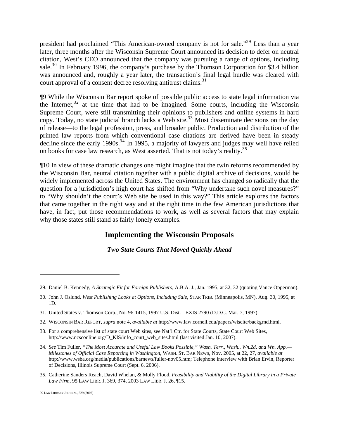president had proclaimed "This American-owned company is not for sale."<sup>2[9](#page-7-0)</sup> Less than a year later, three months after the Wisconsin Supreme Court announced its decision to defer on neutral citation, West's CEO announced that the company was pursuing a range of options, including sale.<sup>3[0](#page-7-1)</sup> In February 1996, the company's purchase by the Thomson Corporation for \$3.4 billion was announced and, roughly a year later, the transaction's final legal hurdle was cleared with court approval of a consent decree resolving antitrust claims.<sup>3[1](#page-7-2)</sup>

¶9 While the Wisconsin Bar report spoke of possible public access to state legal information via the Internet,  $32$  $32$  at the time that had to be imagined. Some courts, including the Wisconsin Supreme Court, were still transmitting their opinions to publishers and online systems in hard copy. Today, no state judicial branch lacks a Web site.<sup>[3](#page-7-4)3</sup> Most disseminate decisions on the day of release—to the legal profession, press, and broader public. Production and distribution of the printed law reports from which conventional case citations are derived have been in steady decline since the early 1990s.<sup>3[4](#page-7-5)</sup> In 1995, a majority of lawyers and judges may well have relied on books for case law research, as West asserted. That is not today's reality.<sup>3[5](#page-7-6)</sup>

¶10 In view of these dramatic changes one might imagine that the twin reforms recommended by the Wisconsin Bar, neutral citation together with a public digital archive of decisions, would be widely implemented across the United States. The environment has changed so radically that the question for a jurisdiction's high court has shifted from "Why undertake such novel measures?" to "Why shouldn't the court's Web site be used in this way?" This article explores the factors that came together in the right way and at the right time in the few American jurisdictions that have, in fact, put those recommendations to work, as well as several factors that may explain why those states still stand as fairly lonely examples.

# **Implementing the Wisconsin Proposals**

*Two State Courts That Moved Quickly Ahead* 

<span id="page-7-0"></span><sup>29.</sup> Daniel B. Kennedy, *A Strategic Fit for Foreign Publishers*, A.B.A. J., Jan. 1995, at 32, 32 (quoting Vance Opperman).

<span id="page-7-1"></span><sup>30.</sup> John J. Oslund, *West Publishing Looks at Options, Including Sale*, STAR TRIB. (Minneapolis, MN), Aug. 30, 1995, at 1D.

<span id="page-7-2"></span><sup>31.</sup> United States v. Thomson Corp., No. 96-1415, 1997 U.S. Dist. LEXIS 2790 (D.D.C. Mar. 7, 1997).

<span id="page-7-3"></span><sup>32.</sup> WISCONSIN BAR REPORT, *supra* note 4, *available at* http://www.law.cornell.edu/papers/wiscite/backgrnd.html.

<span id="page-7-4"></span><sup>33.</sup> For a comprehensive list of state court Web sites, see Nat'l Ctr. for State Courts, State Court Web Sites, http://www.ncsconline.org/D\_KIS/info\_court\_web\_sites.html (last visited Jan. 10, 2007).

<span id="page-7-5"></span><sup>34.</sup> *See* Tim Fuller, *"The Most Accurate and Useful Law Books Possible," Wash. Terr., Wash., Wn.2d, and Wn. App.— Milestones of Official Case Reporting in Washington*, WASH. ST. BAR NEWS, Nov. 2005, at 22, 27, *available at* http://www.wsba.org/media/publications/barnews/fuller-nov05.htm; Telephone interview with Brian Ervin, Reporter of Decisions, Illinois Supreme Court (Sept. 6, 2006).

<span id="page-7-6"></span><sup>35.</sup> Catherine Sanders Reach, David Whelan, & Molly Flood, *Feasibility and Viability of the Digital Library in a Private Law Firm*, 95 LAW LIBR. J. 369, 374, 2003 LAW LIBR. J. 26, ¶15.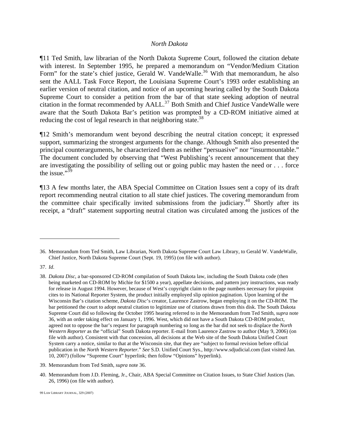#### *North Dakota*

¶11 Ted Smith, law librarian of the North Dakota Supreme Court, followed the citation debate with interest. In September 1995, he prepared a memorandum on "Vendor/Medium Citation Form" for the state's chief justice, Gerald W. VandeWalle.<sup>3[6](#page-8-0)</sup> With that memorandum, he also sent the AALL Task Force Report, the Louisiana Supreme Court's 1993 order establishing an earlier version of neutral citation, and notice of an upcoming hearing called by the South Dakota Supreme Court to consider a petition from the bar of that state seeking adoption of neutral citation in the format recommended by  $AALL$ <sup>3[7](#page-8-1)</sup> Both Smith and Chief Justice VandeWalle were aware that the South Dakota Bar's petition was prompted by a CD-ROM initiative aimed at reducing the cost of legal research in that neighboring state.<sup>3[8](#page-8-2)</sup>

¶12 Smith's memorandum went beyond describing the neutral citation concept; it expressed support, summarizing the strongest arguments for the change. Although Smith also presented the principal counterarguments, he characterized them as neither "persuasive" nor "insurmountable." The document concluded by observing that "West Publishing's recent announcement that they are investigating the possibility of selling out or going public may hasten the need or . . . force the issue." $39$  $39$ 

¶13 A few months later, the ABA Special Committee on Citation Issues sent a copy of its draft report recommending neutral citation to all state chief justices. The covering memorandum from the committee chair specifically invited submissions from the judiciary.<sup>4[0](#page-8-4)</sup> Shortly after its receipt, a "draft" statement supporting neutral citation was circulated among the justices of the

<span id="page-8-0"></span><sup>36.</sup> Memorandum from Ted Smith, Law Librarian, North Dakota Supreme Court Law Library, to Gerald W. VandeWalle, Chief Justice, North Dakota Supreme Court (Sept. 19, 1995) (on file with author).

<span id="page-8-1"></span><sup>37.</sup> *Id*.

<span id="page-8-2"></span><sup>38.</sup> *Dakota Disc*, a bar-sponsored CD-ROM compilation of South Dakota law, including the South Dakota code (then being marketed on CD-ROM by Michie for \$1500 a year), appellate decisions, and pattern jury instructions, was ready for release in August 1994. However, because of West's copyright claim to the page numbers necessary for pinpoint cites to its National Reporter System, the product initially employed slip opinion pagination. Upon learning of the Wisconsin Bar's citation scheme, *Dakota Disc*'s creator, Laurence Zastrow, began employing it on the CD-ROM. The bar petitioned the court to adopt neutral citation to legitimize use of citations drawn from this disk. The South Dakota Supreme Court did so following the October 1995 hearing referred to in the Memorandum from Ted Smith, *supra* note 36, with an order taking effect on January 1, 1996. West, which did not have a South Dakota CD-ROM product, agreed not to oppose the bar's request for paragraph numbering so long as the bar did not seek to displace the *North Western Reporter* as the "official" South Dakota reporter. E-mail from Laurence Zastrow to author (May 9, 2006) (on file with author). Consistent with that concession, all decisions at the Web site of the South Dakota Unified Court System carry a notice, similar to that at the Wisconsin site, that they are "subject to formal revision before official publication in the *North Western Reporter*." *See* S.D. Unified Court Sys., http://www.sdjudicial.com (last visited Jan. 10, 2007) (follow "Supreme Court" hyperlink; then follow "Opinions" hyperlink).

<span id="page-8-3"></span><sup>39.</sup> Memorandum from Ted Smith, *supra* note 36.

<span id="page-8-4"></span><sup>40.</sup> Memorandum from J.D. Fleming, Jr., Chair, ABA Special Committee on Citation Issues, to State Chief Justices (Jan. 26, 1996) (on file with author).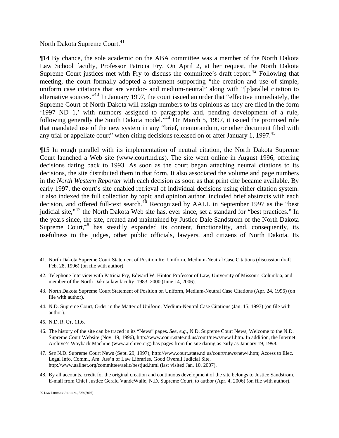North Dakota Supreme Court.<sup>4[1](#page-9-0)</sup>

¶14 By chance, the sole academic on the ABA committee was a member of the North Dakota Law School faculty, Professor Patricia Fry. On April 2, at her request, the North Dakota Supreme Court justices met with Fry to discuss the committee's draft report.<sup>4[2](#page-9-1)</sup> Following that meeting, the court formally adopted a statement supporting "the creation and use of simple, uniform case citations that are vendor- and medium-neutral" along with "[p]arallel citation to alternative sources."<sup>4[3](#page-9-2)</sup> In January 1997, the court issued an order that "effective immediately, the Supreme Court of North Dakota will assign numbers to its opinions as they are filed in the form '1997 ND 1,' with numbers assigned to paragraphs and, pending development of a rule, following generally the South Dakota model."<sup>[4](#page-9-3)4</sup> On March 5, 1997, it issued the promised rule that mandated use of the new system in any "brief, memorandum, or other document filed with any trial or appellate court" when citing decisions released on or after January 1, 1997. $45$  $45$ 

¶15 In rough parallel with its implementation of neutral citation, the North Dakota Supreme Court launched a Web site (www.court.nd.us). The site went online in August 1996, offering decisions dating back to 1993. As soon as the court began attaching neutral citations to its decisions, the site distributed them in that form. It also associated the volume and page numbers in the *North Western Reporter* with each decision as soon as that print cite became available. By early 1997, the court's site enabled retrieval of individual decisions using either citation system. It also indexed the full collection by topic and opinion author, included brief abstracts with each decision, and offered full-text search.<sup>4[6](#page-9-5)</sup> Recognized by AALL in September 1997 as the "best judicial site,"<sup>4[7](#page-9-6)</sup> the North Dakota Web site has, ever since, set a standard for "best practices." In the years since, the site, created and maintained by Justice Dale Sandstrom of the North Dakota Supreme Court,<sup>4[8](#page-9-7)</sup> has steadily expanded its content, functionality, and, consequently, its usefulness to the judges, other public officials, lawyers, and citizens of North Dakota. Its

<span id="page-9-4"></span>45. N.D. R. CT. 11.6.

 $\overline{a}$ 

<span id="page-9-7"></span>48. By all accounts, credit for the original creation and continuous development of the site belongs to Justice Sandstrom. E-mail from Chief Justice Gerald VandeWalle, N.D. Supreme Court, to author (Apr. 4, 2006) (on file with author).

<span id="page-9-0"></span><sup>41.</sup> North Dakota Supreme Court Statement of Position Re: Uniform, Medium-Neutral Case Citations (discussion draft Feb. 28, 1996) (on file with author).

<span id="page-9-1"></span><sup>42.</sup> Telephone Interview with Patricia Fry, Edward W. Hinton Professor of Law, University of Missouri-Columbia, and member of the North Dakota law faculty, 1983–2000 (June 14, 2006).

<span id="page-9-2"></span><sup>43.</sup> North Dakota Supreme Court Statement of Position on Uniform, Medium-Neutral Case Citations (Apr. 24, 1996) (on file with author).

<span id="page-9-3"></span><sup>44.</sup> N.D. Supreme Court, Order in the Matter of Uniform, Medium-Neutral Case Citations (Jan. 15, 1997) (on file with author).

<span id="page-9-5"></span><sup>46.</sup> The history of the site can be traced in its "News" pages. *See, e.g.*, N.D. Supreme Court News, Welcome to the N.D. Supreme Court Website (Nov. 19, 1996), http://www.court.state.nd.us/court/news/new1.htm. In addition, the Internet Archive's Wayback Machine (www.archive.org) has pages from the site dating as early as January 19, 1998.

<span id="page-9-6"></span><sup>47.</sup> *See* N.D. Supreme Court News (Sept. 29, 1997), http://www.court.state.nd.us/court/news/new4.htm; Access to Elec. Legal Info. Comm., Am. Ass'n of Law Libraries, Good Overall Judicial Site, http://www.aallnet.org/committee/aelic/bestjud.html (last visited Jan. 10, 2007).

<sup>99</sup> LAW LIBRARY JOURNAL, 329 (2007)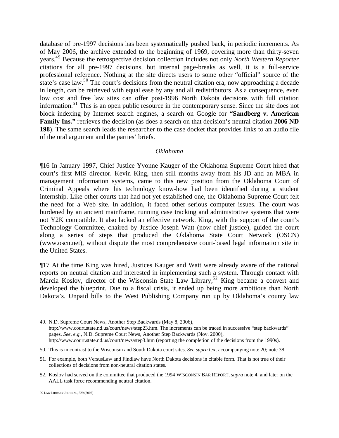database of pre-1997 decisions has been systematically pushed back, in periodic increments. As of May 2006, the archive extended to the beginning of 1969, covering more than thirty-seven years. 4[9](#page-10-0) Because the retrospective decision collection includes not only *North Western Reporter* citations for all pre-1997 decisions, but internal page-breaks as well, it is a full-service professional reference. Nothing at the site directs users to some other "official" source of the state's case law.<sup>5[0](#page-10-1)</sup> The court's decisions from the neutral citation era, now approaching a decade in length, can be retrieved with equal ease by any and all redistributors. As a consequence, even low cost and free law sites can offer post-1996 North Dakota decisions with full citation information.<sup>5[1](#page-10-2)</sup> This is an open public resource in the contemporary sense. Since the site does not block indexing by Internet search engines, a search on Google for **"Sandberg v. American Family Ins."** retrieves the decision (as does a search on that decision's neutral citation **2006 ND 198**). The same search leads the researcher to the case docket that provides links to an audio file of the oral argument and the parties' briefs.

#### *Oklahoma*

¶16 In January 1997, Chief Justice Yvonne Kauger of the Oklahoma Supreme Court hired that court's first MIS director. Kevin King, then still months away from his JD and an MBA in management information systems, came to this new position from the Oklahoma Court of Criminal Appeals where his technology know-how had been identified during a student internship. Like other courts that had not yet established one, the Oklahoma Supreme Court felt the need for a Web site. In addition, it faced other serious computer issues. The court was burdened by an ancient mainframe, running case tracking and administrative systems that were not Y2K compatible. It also lacked an effective network. King, with the support of the court's Technology Committee, chaired by Justice Joseph Watt (now chief justice), guided the court along a series of steps that produced the Oklahoma State Court Network (OSCN) (www.oscn.net), without dispute the most comprehensive court-based legal information site in the United States.

¶17 At the time King was hired, Justices Kauger and Watt were already aware of the national reports on neutral citation and interested in implementing such a system. Through contact with Marcia Koslov, director of the Wisconsin State Law Library,<sup>5[2](#page-10-3)</sup> King became a convert and developed the blueprint. Due to a fiscal crisis, it ended up being more ambitious than North Dakota's. Unpaid bills to the West Publishing Company run up by Oklahoma's county law

<span id="page-10-0"></span><sup>49.</sup> N.D. Supreme Court News, Another Step Backwards (May 8, 2006), http://www.court.state.nd.us/court/news/step23.htm. The increments can be traced in successive "step backwards" pages. *See, e.g.*, N.D. Supreme Court News, Another Step Backwards (Nov. 2000), http://www.court.state.nd.us/court/news/step3.htm (reporting the completion of the decisions from the 1990s).

<span id="page-10-1"></span><sup>50.</sup> This is in contrast to the Wisconsin and South Dakota court sites. *See supra* text accompanying note 20; note 38.

<span id="page-10-2"></span><sup>51.</sup> For example, both VersusLaw and Findlaw have North Dakota decisions in citable form. That is not true of their collections of decisions from non-neutral citation states.

<span id="page-10-3"></span><sup>52.</sup> Koslov had served on the committee that produced the 1994 WISCONSIN BAR REPORT, *supra* note 4, and later on the AALL task force recommending neutral citation.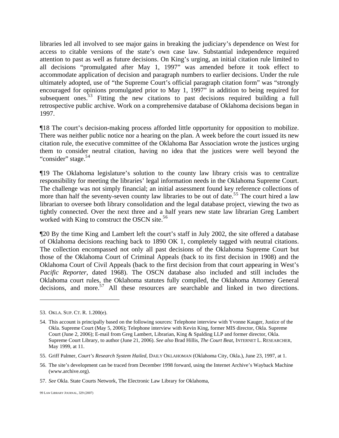libraries led all involved to see major gains in breaking the judiciary's dependence on West for access to citable versions of the state's own case law. Substantial independence required attention to past as well as future decisions. On King's urging, an initial citation rule limited to all decisions "promulgated after May 1, 1997" was amended before it took effect to accommodate application of decision and paragraph numbers to earlier decisions. Under the rule ultimately adopted, use of "the Supreme Court's official paragraph citation form" was "strongly encouraged for opinions promulgated prior to May 1, 1997" in addition to being required for subsequent ones.<sup>5[3](#page-11-0)</sup> Fitting the new citations to past decisions required building a full retrospective public archive. Work on a comprehensive database of Oklahoma decisions began in 1997.

¶18 The court's decision-making process afforded little opportunity for opposition to mobilize. There was neither public notice nor a hearing on the plan. A week before the court issued its new citation rule, the executive committee of the Oklahoma Bar Association wrote the justices urging them to consider neutral citation, having no idea that the justices were well beyond the "consider" stage.<sup>5[4](#page-11-1)</sup>

¶19 The Oklahoma legislature's solution to the county law library crisis was to centralize responsibility for meeting the libraries' legal information needs in the Oklahoma Supreme Court. The challenge was not simply financial; an initial assessment found key reference collections of more than half the seventy-seven county law libraries to be out of date.<sup>[5](#page-11-2)5</sup> The court hired a law librarian to oversee both library consolidation and the legal database project, viewing the two as tightly connected. Over the next three and a half years new state law librarian Greg Lambert worked with King to construct the OSCN site.<sup>5[6](#page-11-3)</sup>

¶20 By the time King and Lambert left the court's staff in July 2002, the site offered a database of Oklahoma decisions reaching back to 1890 OK 1, completely tagged with neutral citations. The collection encompassed not only all past decisions of the Oklahoma Supreme Court but those of the Oklahoma Court of Criminal Appeals (back to its first decision in 1908) and the Oklahoma Court of Civil Appeals (back to the first decision from that court appearing in West's *Pacific Reporter*, dated 1968). The OSCN database also included and still includes the Oklahoma court rules, the Oklahoma statutes fully compiled, the Oklahoma Attorney General decisions, and more.<sup>5[7](#page-11-4)</sup> All these resources are searchable and linked in two directions.

<span id="page-11-0"></span><sup>53.</sup> OKLA. SUP. CT. R. 1.200(e).

<span id="page-11-1"></span><sup>54.</sup> This account is principally based on the following sources: Telephone interview with Yvonne Kauger, Justice of the Okla. Supreme Court (May 5, 2006); Telephone interview with Kevin King, former MIS director, Okla. Supreme Court (June 2, 2006); E-mail from Greg Lambert, Librarian, King & Spalding LLP and former director, Okla. Supreme Court Library, to author (June 21, 2006). *See also* Brad Hillis, *The Court Beat*, INTERNET L. RESEARCHER, May 1999, at 11.

<span id="page-11-2"></span><sup>55.</sup> Griff Palmer, *Court's Research System Hailed*, DAILY OKLAHOMAN (Oklahoma City, Okla.), June 23, 1997, at 1.

<span id="page-11-3"></span><sup>56.</sup> The site's development can be traced from December 1998 forward, using the Internet Archive's Wayback Machine (www.archive.org).

<span id="page-11-4"></span><sup>57.</sup> *See* Okla. State Courts Network, The Electronic Law Library for Oklahoma,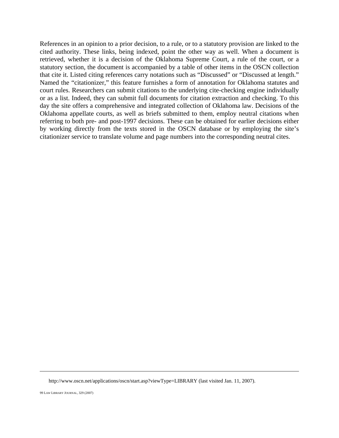References in an opinion to a prior decision, to a rule, or to a statutory provision are linked to the cited authority. These links, being indexed, point the other way as well. When a document is retrieved, whether it is a decision of the Oklahoma Supreme Court, a rule of the court, or a statutory section, the document is accompanied by a table of other items in the OSCN collection that cite it. Listed citing references carry notations such as "Discussed" or "Discussed at length." Named the "citationizer," this feature furnishes a form of annotation for Oklahoma statutes and court rules. Researchers can submit citations to the underlying cite-checking engine individually or as a list. Indeed, they can submit full documents for citation extraction and checking. To this day the site offers a comprehensive and integrated collection of Oklahoma law. Decisions of the Oklahoma appellate courts, as well as briefs submitted to them, employ neutral citations when referring to both pre- and post-1997 decisions. These can be obtained for earlier decisions either by working directly from the texts stored in the OSCN database or by employing the site's citationizer service to translate volume and page numbers into the corresponding neutral cites.

http://www.oscn.net/applications/oscn/start.asp?viewType=LIBRARY (last visited Jan. 11, 2007).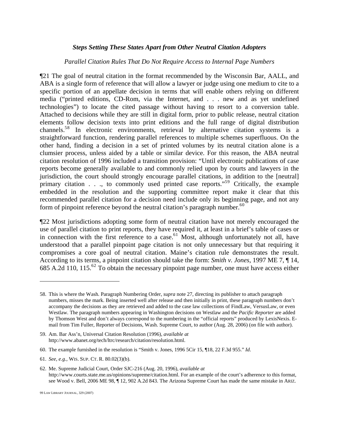### *Steps Setting These States Apart from Other Neutral Citation Adopters*

#### *Parallel Citation Rules That Do Not Require Access to Internal Page Numbers*

¶21 The goal of neutral citation in the format recommended by the Wisconsin Bar, AALL, and ABA is a single form of reference that will allow a lawyer or judge using one medium to cite to a specific portion of an appellate decision in terms that will enable others relying on different media ("printed editions, CD-Rom, via the Internet, and . . . new and as yet undefined technologies") to locate the cited passage without having to resort to a conversion table. Attached to decisions while they are still in digital form, prior to public release, neutral citation elements follow decision texts into print editions and the full range of digital distribution channels.5[8](#page-13-0) In electronic environments, retrieval by alternative citation systems is a straightforward function, rendering parallel references to multiple schemes superfluous. On the other hand, finding a decision in a set of printed volumes by its neutral citation alone is a clumsier process, unless aided by a table or similar device. For this reason, the ABA neutral citation resolution of 1996 included a transition provision: "Until electronic publications of case reports become generally available to and commonly relied upon by courts and lawyers in the jurisdiction, the court should strongly encourage parallel citations, in addition to the [neutral] primary citation . . ., to commonly used printed case reports."<sup>5[9](#page-13-1)</sup> Critically, the example embedded in the resolution and the supporting committee report make it clear that this recommended parallel citation for a decision need include only its beginning page, and not any form of pinpoint reference beyond the neutral citation's paragraph number.<sup>6[0](#page-13-2)</sup>

¶22 Most jurisdictions adopting some form of neutral citation have not merely encouraged the use of parallel citation to print reports, they have required it, at least in a brief's table of cases or in connection with the first reference to a case. $61$  $61$  Most, although unfortunately not all, have understood that a parallel pinpoint page citation is not only unnecessary but that requiring it compromises a core goal of neutral citation. Maine's citation rule demonstrates the result. According to its terms, a pinpoint citation should take the form: *Smith v. Jones*, 1997 ME 7, ¶ 14, 685 A.[2](#page-13-4)d 110, 115.<sup>62</sup> To obtain the necessary pinpoint page number, one must have access either

<span id="page-13-0"></span><sup>58.</sup> This is where the Wash. Paragraph Numbering Order, *supra* note 27, directing its publisher to attach paragraph numbers, misses the mark. Being inserted well after release and then initially in print, these paragraph numbers don't accompany the decisions as they are retrieved and added to the case law collections of FindLaw, VersusLaw, or even Westlaw. The paragraph numbers appearing in Washington decisions on Westlaw and the *Pacific Reporter* are added by Thomson West and don't always correspond to the numbering in the "official reports" produced by LexisNexis. Email from Tim Fuller, Reporter of Decisions, Wash. Supreme Court, to author (Aug. 28, 2006) (on file with author).

<span id="page-13-1"></span><sup>59.</sup> Am. Bar Ass'n, Universal Citation Resolution (1996), *available at* http://www.abanet.org/tech/ltrc/research/citation/resolution.html.

<span id="page-13-2"></span><sup>60.</sup> The example furnished in the resolution is "Smith v. Jones, 1996 5Cir 15, ¶18, 22 F.3d 955." *Id*.

<span id="page-13-3"></span><sup>61.</sup> *See, e.g.,* WIS. SUP. CT. R. 80.02(3)(b).

<span id="page-13-4"></span><sup>62.</sup> Me. Supreme Judicial Court, Order SJC-216 (Aug. 20, 1996), *available at* http://www.courts.state.me.us/opinions/supreme/citation.html. For an example of the court's adherence to this format, see Wood v. Bell, 2006 ME 98, ¶ 12, 902 A.2d 843. The Arizona Supreme Court has made the same mistake in ARIZ.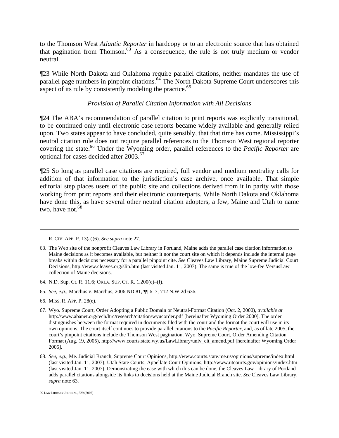to the Thomson West *Atlantic Reporter* in hardcopy or to an electronic source that has obtained that pagination from Thomson.<sup>6[3](#page-14-0)</sup> As a consequence, the rule is not truly medium or vendor neutral.

¶23 While North Dakota and Oklahoma require parallel citations, neither mandates the use of parallel page numbers in pinpoint citations.  $64$  $64$  The North Dakota Supreme Court underscores this aspect of its rule by consistently modeling the practice.<sup>6[5](#page-14-2)</sup>

# *Provision of Parallel Citation Information with All Decisions*

¶24 The ABA's recommendation of parallel citation to print reports was explicitly transitional, to be continued only until electronic case reports became widely available and generally relied upon. Two states appear to have concluded, quite sensibly, that that time has come. Mississippi's neutral citation rule does not require parallel references to the Thomson West regional reporter covering the state.<sup>[6](#page-14-3)6</sup> Under the Wyoming order, parallel references to the *Pacific Reporter* are optional for cases decided after 2003.<sup>6[7](#page-14-4)</sup>

¶25 So long as parallel case citations are required, full vendor and medium neutrality calls for addition of that information to the jurisdiction's case archive, once available. That simple editorial step places users of the public site and collections derived from it in parity with those working from print reports and their electronic counterparts. While North Dakota and Oklahoma have done this, as have several other neutral citation adopters, a few, Maine and Utah to name two, have not.  $68$  $68$ 

- <span id="page-14-1"></span>64. N.D. Sup. Ct. R. 11.6; OKLA. SUP. CT. R. 1.200(e)–(f).
- <span id="page-14-2"></span>65. *See, e.g.*, Marchus v. Marchus, 2006 ND 81, ¶¶ 6–7, 712 N.W.2d 636.
- <span id="page-14-3"></span>66. MISS. R. APP. P. 28(e).

R. CIV. APP. P. 13(a)(6). *See supra* note 27.

<span id="page-14-0"></span><sup>63.</sup> The Web site of the nonprofit Cleaves Law Library in Portland, Maine adds the parallel case citation information to Maine decisions as it becomes available, but neither it nor the court site on which it depends include the internal page breaks within decisions necessary for a parallel pinpoint cite. *See* Cleaves Law Library, Maine Supreme Judicial Court Decisions, http://www.cleaves.org/slip.htm (last visited Jan. 11, 2007). The same is true of the low-fee VersusLaw collection of Maine decisions.

<span id="page-14-4"></span><sup>67.</sup> Wyo. Supreme Court, Order Adopting a Public Domain or Neutral-Format Citation (Oct. 2, 2000), *available at* http://www.abanet.org/tech/ltrc/research/citation/wyucorder.pdf [hereinafter Wyoming Order 2000]. The order distinguishes between the format required in documents filed with the court and the format the court will use in its own opinions. The court itself continues to provide parallel citations to the *Pacific Reporter*, and, as of late 2005, the court's pinpoint citations include the Thomson West pagination. Wyo. Supreme Court, Order Amending Citation Format (Aug. 19, 2005), http://www.courts.state.wy.us/LawLibrary/univ\_cit\_amend.pdf [hereinafter Wyoming Order 2005].

<span id="page-14-5"></span><sup>68.</sup> *See, e.g.,* Me. Judicial Branch, Supreme Court Opinions, http://www.courts.state.me.us/opinions/supreme/index.html (last visited Jan. 11, 2007); Utah State Courts, Appellate Court Opinions, http://www.utcourts.gov/opinions/index.htm (last visited Jan. 11, 2007). Demonstrating the ease with which this can be done, the Cleaves Law Library of Portland adds parallel citations alongside its links to decisions held at the Maine Judicial Branch site. *See* Cleaves Law Library, *supra* note 63.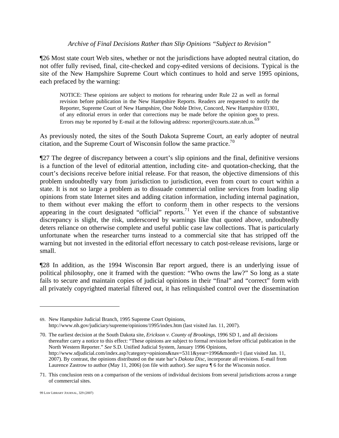#### *Archive of Final Decisions Rather than Slip Opinions "Subject to Revision"*

¶26 Most state court Web sites, whether or not the jurisdictions have adopted neutral citation, do not offer fully revised, final, cite-checked and copy-edited versions of decisions. Typical is the site of the New Hampshire Supreme Court which continues to hold and serve 1995 opinions, each prefaced by the warning:

NOTICE: These opinions are subject to motions for rehearing under Rule 22 as well as formal revision before publication in the New Hampshire Reports. Readers are requested to notify the Reporter, Supreme Court of New Hampshire, One Noble Drive, Concord, New Hampshire 03301, of any editorial errors in order that corrections may be made before the opinion goes to press. Errors may be reported by E-mail at the following address: reporter@courts.state.nh.us.<sup>6[9](#page-15-0)</sup>

As previously noted, the sites of the South Dakota Supreme Court, an early adopter of neutral citation, and the Supreme Court of Wisconsin follow the same practice.<sup>7[0](#page-15-1)</sup>

¶27 The degree of discrepancy between a court's slip opinions and the final, definitive versions is a function of the level of editorial attention, including cite- and quotation-checking, that the court's decisions receive before initial release. For that reason, the objective dimensions of this problem undoubtedly vary from jurisdiction to jurisdiction, even from court to court within a state. It is not so large a problem as to dissuade commercial online services from loading slip opinions from state Internet sites and adding citation information, including internal pagination, to them without ever making the effort to conform them in other respects to the versions appearing in the court designated "official" reports.<sup>7[1](#page-15-2)</sup> Yet even if the chance of substantive discrepancy is slight, the risk, underscored by warnings like that quoted above, undoubtedly deters reliance on otherwise complete and useful public case law collections. That is particularly unfortunate when the researcher turns instead to a commercial site that has stripped off the warning but not invested in the editorial effort necessary to catch post-release revisions, large or small.

¶28 In addition, as the 1994 Wisconsin Bar report argued, there is an underlying issue of political philosophy, one it framed with the question: "Who owns the law?" So long as a state fails to secure and maintain copies of judicial opinions in their "final" and "correct" form with all privately copyrighted material filtered out, it has relinquished control over the dissemination

<span id="page-15-0"></span><sup>69.</sup> New Hampshire Judicial Branch, 1995 Supreme Court Opinions, http://www.nh.gov/judiciary/supreme/opinions/1995/index.htm (last visited Jan. 11, 2007).

<span id="page-15-1"></span><sup>70.</sup> The earliest decision at the South Dakota site, *Erickson v. County of Brookings*, 1996 SD 1, and all decisions thereafter carry a notice to this effect: "These opinions are subject to formal revision before official publication in the North Western Reporter." *See* S.D. Unified Judicial System, January 1996 Opinions, http://www.sdjudicial.com/index.asp?category=opinions&nav=5311&year=1996&month=1 (last visited Jan. 11, 2007). By contrast, the opinions distributed on the state bar's *Dakota Disc*, incorporate all revisions. E-mail from Laurence Zastrow to author (May 11, 2006) (on file with author). *See supra ¶* 6 for the Wisconsin notice.

<span id="page-15-2"></span><sup>71.</sup> This conclusion rests on a comparison of the versions of individual decisions from several jurisdictions across a range of commercial sites.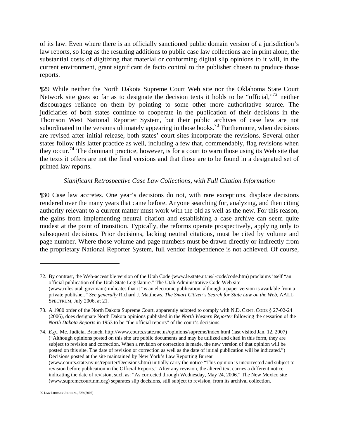of its law. Even where there is an officially sanctioned public domain version of a jurisdiction's law reports, so long as the resulting additions to public case law collections are in print alone, the substantial costs of digitizing that material or conforming digital slip opinions to it will, in the current environment, grant significant de facto control to the publisher chosen to produce those reports.

¶29 While neither the North Dakota Supreme Court Web site nor the Oklahoma State Court Network site goes so far as to designate the decision texts it holds to be "official,"<sup>7[2](#page-16-0)</sup> neither discourages reliance on them by pointing to some other more authoritative source. The judiciaries of both states continue to cooperate in the publication of their decisions in the Thomson West National Reporter System, but their public archives of case law are not subordinated to the versions ultimately appearing in those books.<sup>7[3](#page-16-1)</sup> Furthermore, when decisions are revised after initial release, both states' court sites incorporate the revisions. Several other states follow this latter practice as well, including a few that, commendably, flag revisions when they occur.<sup>7[4](#page-16-2)</sup> The dominant practice, however, is for a court to warn those using its Web site that the texts it offers are not the final versions and that those are to be found in a designated set of printed law reports.

# *Significant Retrospective Case Law Collections, with Full Citation Information*

¶30 Case law accretes. One year's decisions do not, with rare exceptions, displace decisions rendered over the many years that came before. Anyone searching for, analyzing, and then citing authority relevant to a current matter must work with the old as well as the new. For this reason, the gains from implementing neutral citation and establishing a case archive can seem quite modest at the point of transition. Typically, the reforms operate prospectively, applying only to subsequent decisions. Prior decisions, lacking neutral citations, must be cited by volume and page number. Where those volume and page numbers must be drawn directly or indirectly from the proprietary National Reporter System, full vendor independence is not achieved. Of course,

<span id="page-16-2"></span>74. *E.g.*, Me. Judicial Branch, http://www.courts.state.me.us/opinions/supreme/index.html (last visited Jan. 12, 2007) ("Although opinions posted on this site are public documents and may be utilized and cited in this form, they are subject to revision and correction. When a revision or correction is made, the new version of that opinion will be posted on this site. The date of revision or correction as well as the date of initial publication will be indicated.") Decisions posted at the site maintained by New York's Law Reporting Bureau (www.courts.state.ny.us/reporter/Decisions.htm) initially carry the notice "This opinion is uncorrected and subject to revision before publication in the Official Reports." After any revision, the altered text carries a different notice indicating the date of revision, such as: "As corrected through Wednesday, May 24, 2006." The New Mexico site (www.supremecourt.nm.org) separates slip decisions, still subject to revision, from its archival collection.

<span id="page-16-0"></span><sup>72.</sup> By contrast, the Web-accessible version of the Utah Code (www.le.state.ut.us/~code/code.htm) proclaims itself "an official publication of the Utah State Legislature." The Utah Administrative Code Web site (www.rules.utah.gov/main) indicates that it "is an electronic publication, although a paper version is available from a private publisher." *See generally* Richard J. Matthews, *The Smart Citizen's Search for State Law on the Web*, AALL SPECTRUM, July 2006, at 21.

<span id="page-16-1"></span><sup>73.</sup> A 1980 order of the North Dakota Supreme Court, apparently adopted to comply with N.D. CENT. CODE § 27-02-24 (2006), does designate North Dakota opinions published in the *North Western Reporter* following the cessation of the *North Dakota Reports* in 1953 to be "the official reports" of the court's decisions.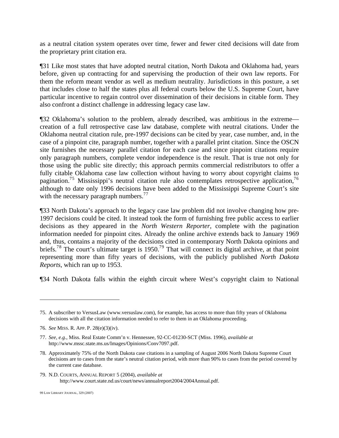as a neutral citation system operates over time, fewer and fewer cited decisions will date from the proprietary print citation era.

¶31 Like most states that have adopted neutral citation, North Dakota and Oklahoma had, years before, given up contracting for and supervising the production of their own law reports. For them the reform meant vendor as well as medium neutrality. Jurisdictions in this posture, a set that includes close to half the states plus all federal courts below the U.S. Supreme Court, have particular incentive to regain control over dissemination of their decisions in citable form. They also confront a distinct challenge in addressing legacy case law.

¶32 Oklahoma's solution to the problem, already described, was ambitious in the extreme creation of a full retrospective case law database, complete with neutral citations. Under the Oklahoma neutral citation rule, pre-1997 decisions can be cited by year, case number, and, in the case of a pinpoint cite, paragraph number, together with a parallel print citation. Since the OSCN site furnishes the necessary parallel citation for each case and since pinpoint citations require only paragraph numbers, complete vendor independence is the result. That is true not only for those using the public site directly; this approach permits commercial redistributors to offer a fully citable Oklahoma case law collection without having to worry about copyright claims to pagination.<sup>7[5](#page-17-0)</sup> Mississippi's neutral citation rule also contemplates retrospective application,<sup>7[6](#page-17-1)</sup> although to date only 1996 decisions have been added to the Mississippi Supreme Court's site with the necessary paragraph numbers. $^{77}$  $^{77}$  $^{77}$ 

¶33 North Dakota's approach to the legacy case law problem did not involve changing how pre-1997 decisions could be cited. It instead took the form of furnishing free public access to earlier decisions as they appeared in the *North Western Reporter*, complete with the pagination information needed for pinpoint cites. Already the online archive extends back to January 1969 and, thus, contains a majority of the decisions cited in contemporary North Dakota opinions and briefs.<sup>7[8](#page-17-3)</sup> The court's ultimate target is 1[9](#page-17-4)50.<sup>79</sup> That will connect its digital archive, at that point representing more than fifty years of decisions, with the publicly published *North Dakota Reports*, which ran up to 1953.

¶34 North Dakota falls within the eighth circuit where West's copyright claim to National

 $\overline{a}$ 

<span id="page-17-4"></span>79. N.D. COURTS, ANNUAL REPORT 5 (2004), *available at*  http://www.court.state.nd.us/court/news/annualreport2004/2004Annual.pdf.

<span id="page-17-0"></span><sup>75.</sup> A subscriber to VersusLaw (www.versuslaw.com), for example, has access to more than fifty years of Oklahoma decisions with all the citation information needed to refer to them in an Oklahoma proceeding.

<span id="page-17-1"></span><sup>76.</sup> *See* MISS. R. APP. P. 28(e)(3)(iv).

<span id="page-17-2"></span><sup>77.</sup> *See, e.g.*, Miss. Real Estate Comm'n v. Hennessee, 92-CC-01230-SCT (Miss. 1996), *available at* http://www.mssc.state.ms.us/Images/Opinions/Conv7097.pdf.

<span id="page-17-3"></span><sup>78.</sup> Approximately 75% of the North Dakota case citations in a sampling of August 2006 North Dakota Supreme Court decisions are to cases from the state's neutral citation period, with more than 90% to cases from the period covered by the current case database.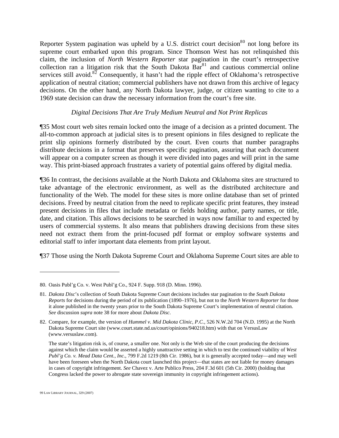Reporter System pagination was upheld by a U.S. district court decision<sup>8[0](#page-18-0)</sup> not long before its supreme court embarked upon this program. Since Thomson West has not relinquished this claim, the inclusion of *North Western Reporter* star pagination in the court's retrospective collection ran a litigation risk that the South Dakota  $Bar<sup>81</sup>$  $Bar<sup>81</sup>$  $Bar<sup>81</sup>$  and cautious commercial online services still avoid.<sup>8[2](#page-18-2)</sup> Consequently, it hasn't had the ripple effect of Oklahoma's retrospective application of neutral citation; commercial publishers have not drawn from this archive of legacy decisions. On the other hand, any North Dakota lawyer, judge, or citizen wanting to cite to a 1969 state decision can draw the necessary information from the court's free site.

# *Digital Decisions That Are Truly Medium Neutral and Not Print Replicas*

¶35 Most court web sites remain locked onto the image of a decision as a printed document. The all-to-common approach at judicial sites is to present opinions in files designed to replicate the print slip opinions formerly distributed by the court. Even courts that number paragraphs distribute decisions in a format that preserves specific pagination, assuring that each document will appear on a computer screen as though it were divided into pages and will print in the same way. This print-biased approach frustrates a variety of potential gains offered by digital media.

¶36 In contrast, the decisions available at the North Dakota and Oklahoma sites are structured to take advantage of the electronic environment, as well as the distributed architecture and functionality of the Web. The model for these sites is more online database than set of printed decisions. Freed by neutral citation from the need to replicate specific print features, they instead present decisions in files that include metadata or fields holding author, party names, or title, date, and citation. This allows decisions to be searched in ways now familiar to and expected by users of commercial systems. It also means that publishers drawing decisions from these sites need not extract them from the print-focused pdf format or employ software systems and editorial staff to infer important data elements from print layout.

¶37 Those using the North Dakota Supreme Court and Oklahoma Supreme Court sites are able to

<span id="page-18-0"></span><sup>80.</sup> Oasis Publ'g Co. v. West Publ'g Co., 924 F. Supp. 918 (D. Minn. 1996).

<span id="page-18-1"></span><sup>81.</sup> *Dakota Disc*'s collection of South Dakota Supreme Court decisions includes star pagination to the *South Dakota Reports* for decisions during the period of its publication (1890–1976), but not to the *North Western Reporter* for those it alone published in the twenty years prior to the South Dakota Supreme Court's implementation of neutral citation. *See* discussion *supra* note 38 for more about *Dakota Disc*.

<span id="page-18-2"></span><sup>82.</sup> Compare, for example, the version of *Hummel v. Mid Dakota Clinic, P.C.*, 526 N.W.2d 704 (N.D. 1995) at the North Dakota Supreme Court site (www.court.state.nd.us/court/opinions/940218.htm) with that on VersusLaw (www.versuslaw.com).

The state's litigation risk is, of course, a smaller one. Not only is the Web site of the court producing the decisions against which the claim would be asserted a highly unattractive setting in which to test the continued viability of *West Publ'g Co. v. Mead Data Cent., Inc.*, 799 F.2d 1219 (8th Cir. 1986), but it is generally accepted today—and may well have been foreseen when the North Dakota court launched this project—that states are not liable for money damages in cases of copyright infringement. *See* Chavez v. Arte Publico Press, 204 F.3d 601 (5th Cir. 2000) (holding that Congress lacked the power to abrogate state sovereign immunity in copyright infringement actions).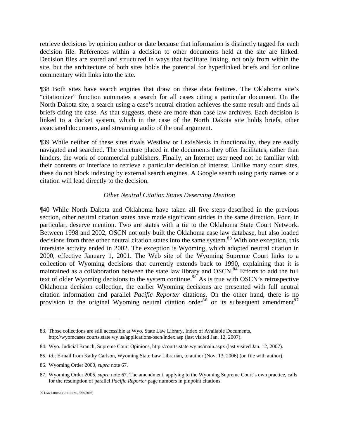retrieve decisions by opinion author or date because that information is distinctly tagged for each decision file. References within a decision to other documents held at the site are linked. Decision files are stored and structured in ways that facilitate linking, not only from within the site, but the architecture of both sites holds the potential for hyperlinked briefs and for online commentary with links into the site.

¶38 Both sites have search engines that draw on these data features. The Oklahoma site's "citationizer" function automates a search for all cases citing a particular document. On the North Dakota site, a search using a case's neutral citation achieves the same result and finds all briefs citing the case. As that suggests, these are more than case law archives. Each decision is linked to a docket system, which in the case of the North Dakota site holds briefs, other associated documents, and streaming audio of the oral argument.

¶39 While neither of these sites rivals Westlaw or LexisNexis in functionality, they are easily navigated and searched. The structure placed in the documents they offer facilitates, rather than hinders, the work of commercial publishers. Finally, an Internet user need not be familiar with their contents or interface to retrieve a particular decision of interest. Unlike many court sites, these do not block indexing by external search engines. A Google search using party names or a citation will lead directly to the decision.

#### *Other Neutral Citation States Deserving Mention*

¶40 While North Dakota and Oklahoma have taken all five steps described in the previous section, other neutral citation states have made significant strides in the same direction. Four, in particular, deserve mention. Two are states with a tie to the Oklahoma State Court Network. Between 1998 and 2002, OSCN not only built the Oklahoma case law database, but also loaded decisions from three other neutral citation states into the same system.<sup>8[3](#page-19-0)</sup> With one exception, this interstate activity ended in 2002. The exception is Wyoming, which adopted neutral citation in 2000, effective January 1, 2001. The Web site of the Wyoming Supreme Court links to a collection of Wyoming decisions that currently extends back to 1990, explaining that it is maintained as a collaboration between the state law library and OSCN.<sup>8[4](#page-19-1)</sup> Efforts to add the full text of older Wyoming decisions to the system continue.<sup>8[5](#page-19-2)</sup> As is true with OSCN's retrospective Oklahoma decision collection, the earlier Wyoming decisions are presented with full neutral citation information and parallel *Pacific Reporter* citations. On the other hand, there is no provision in the original Wyoming neutral citation order  $86$  $86$  or its subsequent amendment  $87$  $87$ 

<u>.</u>

<span id="page-19-0"></span><sup>83.</sup> Those collections are still accessible at Wyo. State Law Library, Index of Available Documents, http://wyomcases.courts.state.wy.us/applications/oscn/index.asp (last visited Jan. 12, 2007).

<span id="page-19-1"></span><sup>84.</sup> Wyo. Judicial Branch, Supreme Court Opinions, http://courts.state.wy.us/main.aspx (last visited Jan. 12, 2007).

<span id="page-19-2"></span><sup>85.</sup> *Id*.; E-mail from Kathy Carlson, Wyoming State Law Librarian, to author (Nov. 13, 2006) (on file with author).

<span id="page-19-3"></span><sup>86.</sup> Wyoming Order 2000, *supra* note 67.

<span id="page-19-4"></span><sup>87.</sup> Wyoming Order 2005, *supra* note 67. The amendment, applying to the Wyoming Supreme Court's own practice, calls for the resumption of parallel *Pacific Reporter* page numbers in pinpoint citations.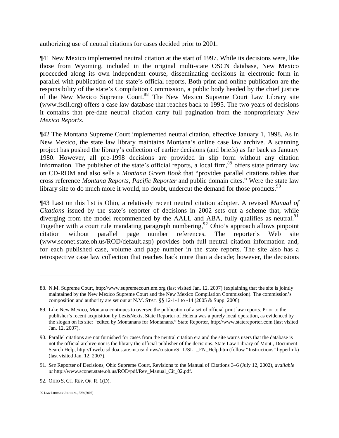authorizing use of neutral citations for cases decided prior to 2001.

¶41 New Mexico implemented neutral citation at the start of 1997. While its decisions were, like those from Wyoming, included in the original multi-state OSCN database, New Mexico proceeded along its own independent course, disseminating decisions in electronic form in parallel with publication of the state's official reports. Both print and online publication are the responsibility of the state's Compilation Commission, a public body headed by the chief justice of the New Mexico Supreme Court.<sup>[8](#page-20-0)8</sup> The New Mexico Supreme Court Law Library site (www.fscll.org) offers a case law database that reaches back to 1995. The two years of decisions it contains that pre-date neutral citation carry full pagination from the nonproprietary *New Mexico Reports*.

¶42 The Montana Supreme Court implemented neutral citation, effective January 1, 1998. As in New Mexico, the state law library maintains Montana's online case law archive. A scanning project has pushed the library's collection of earlier decisions (and briefs) as far back as January 1980. However, all pre-1998 decisions are provided in slip form without any citation information. The publisher of the state's official reports, a local firm,  $89$  $89$  offers state primary law on CD-ROM and also sells a *Montana Green Book* that "provides parallel citations tables that cross reference *Montana Reports*, *Pacific Reporter* and public domain cites." Were the state law library site to do much more it would, no doubt, undercut the demand for those products. $90$  $90$ 

¶43 Last on this list is Ohio, a relatively recent neutral citation adopter. A revised *Manual of Citations* issued by the state's reporter of decisions in 2002 sets out a scheme that, while diverging from the model recommended by the AALL and ABA, fully qualifies as neutral.<sup>9[1](#page-20-3)</sup> Together with a court rule mandating paragraph numbering,<sup>9[2](#page-20-4)</sup> Ohio's approach allows pinpoint citation without parallel page number references. The reporter's Web site (www.sconet.state.oh.us/ROD/default.asp) provides both full neutral citation information and, for each published case, volume and page number in the state reports. The site also has a retrospective case law collection that reaches back more than a decade; however, the decisions

<span id="page-20-0"></span><sup>88.</sup> N.M. Supreme Court, http://www.supremecourt.nm.org (last visited Jan. 12, 2007) (explaining that the site is jointly maintained by the New Mexico Supreme Court and the New Mexico Compilation Commission). The commission's composition and authority are set out at N.M. STAT. §§ 12-1-1 to -14 (2005 & Supp. 2006).

<span id="page-20-1"></span><sup>89.</sup> Like New Mexico, Montana continues to oversee the publication of a set of official print law reports. Prior to the publisher's recent acquisition by LexisNexis, State Reporter of Helena was a purely local operation, as evidenced by the slogan on its site: "edited by Montanans for Montanans." State Reporter, http://www.statereporter.com (last visited Jan. 12, 2007).

<span id="page-20-2"></span><sup>90.</sup> Parallel citations are not furnished for cases from the neutral citation era and the site warns users that the database is not the official archive nor is the library the official publisher of the decisions. State Law Library of Mont., Document Search Help, http://fnweb.isd.doa.state.mt.us/idmws/custom/SLL/SLL\_FN\_Help.htm (follow "Instructions" hyperlink) (last visited Jan. 12, 2007).

<span id="page-20-3"></span><sup>91.</sup> *See* Reporter of Decisions, Ohio Supreme Court, Revisions to the Manual of Citations 3–6 (July 12, 2002), *available at* http://www.sconet.state.oh.us/ROD/pdf/Rev\_Manual\_Cit\_02.pdf.

<span id="page-20-4"></span><sup>92.</sup> OHIO S. CT. REP. OP. R. 1(D).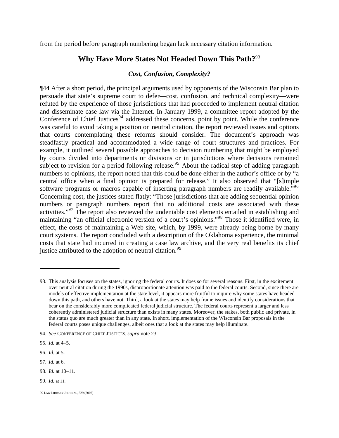from the period before paragraph numbering began lack necessary citation information.

# **Why Have More States Not Headed Down This Path?**9[3](#page-21-0)

# *Cost, Confusion, Complexity?*

¶44 After a short period, the principal arguments used by opponents of the Wisconsin Bar plan to persuade that state's supreme court to defer—cost, confusion, and technical complexity—were refuted by the experience of those jurisdictions that had proceeded to implement neutral citation and disseminate case law via the Internet. In January 1999, a committee report adopted by the Conference of Chief Justices<sup>9[4](#page-21-1)</sup> addressed these concerns, point by point. While the conference was careful to avoid taking a position on neutral citation, the report reviewed issues and options that courts contemplating these reforms should consider. The document's approach was steadfastly practical and accommodated a wide range of court structures and practices. For example, it outlined several possible approaches to decision numbering that might be employed by courts divided into departments or divisions or in jurisdictions where decisions remained subject to revision for a period following release.<sup>9[5](#page-21-2)</sup> About the radical step of adding paragraph numbers to opinions, the report noted that this could be done either in the author's office or by "a central office when a final opinion is prepared for release." It also observed that "[s]imple software programs or macros capable of inserting paragraph numbers are readily available.<sup>"9[6](#page-21-3)</sup> Concerning cost, the justices stated flatly: "Those jurisdictions that are adding sequential opinion numbers or paragraph numbers report that no additional costs are associated with these activities."<sup>9[7](#page-21-4)</sup> The report also reviewed the undeniable cost elements entailed in establishing and maintaining "an official electronic version of a court's opinions."<sup>9[8](#page-21-5)</sup> Those it identified were, in effect, the costs of maintaining a Web site, which, by 1999, were already being borne by many court systems. The report concluded with a description of the Oklahoma experience, the minimal costs that state had incurred in creating a case law archive, and the very real benefits its chief justice attributed to the adoption of neutral citation.<sup>[9](#page-21-6)9</sup>

<span id="page-21-0"></span><sup>93.</sup> This analysis focuses on the states, ignoring the federal courts. It does so for several reasons. First, in the excitement over neutral citation during the 1990s, disproportionate attention was paid to the federal courts. Second, since there are models of effective implementation at the state level, it appears more fruitful to inquire why some states have headed down this path, and others have not. Third, a look at the states may help frame issues and identify considerations that bear on the considerably more complicated federal judicial structure. The federal courts represent a larger and less coherently administered judicial structure than exists in many states. Moreover, the stakes, both public and private, in the status quo are much greater than in any state. In short, implementation of the Wisconsin Bar proposals in the federal courts poses unique challenges, albeit ones that a look at the states may help illuminate.

<span id="page-21-1"></span><sup>94.</sup> *See* CONFERENCE OF CHIEF JUSTICES, *supra* note 23.

<span id="page-21-2"></span><sup>95.</sup> *Id.* at 4–5.

<span id="page-21-3"></span><sup>96.</sup> *Id.* at 5.

<span id="page-21-4"></span><sup>97.</sup> *Id.* at 6.

<span id="page-21-5"></span><sup>98.</sup> *Id.* at 10–11.

<span id="page-21-6"></span><sup>99.</sup> *Id.* at 11.

<sup>99</sup> LAW LIBRARY JOURNAL, 329 (2007)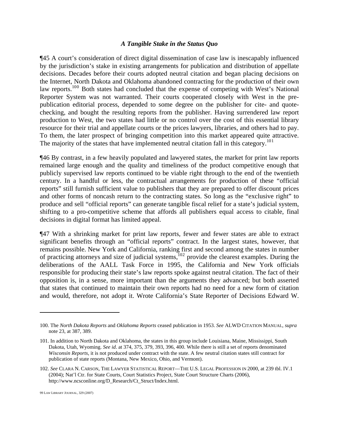#### *A Tangible Stake in the Status Quo*

¶45 A court's consideration of direct digital dissemination of case law is inescapably influenced by the jurisdiction's stake in existing arrangements for publication and distribution of appellate decisions. Decades before their courts adopted neutral citation and began placing decisions on the Internet, North Dakota and Oklahoma abandoned contracting for the production of their own law reports.<sup>1[0](#page-22-0)0</sup> Both states had concluded that the expense of competing with West's National Reporter System was not warranted. Their courts cooperated closely with West in the prepublication editorial process, depended to some degree on the publisher for cite- and quotechecking, and bought the resulting reports from the publisher. Having surrendered law report production to West, the two states had little or no control over the cost of this essential library resource for their trial and appellate courts or the prices lawyers, libraries, and others had to pay. To them, the later prospect of bringing competition into this market appeared quite attractive. The majority of the states that have implemented neutral citation fall in this category.<sup>[1](#page-22-1)01</sup>

¶46 By contrast, in a few heavily populated and lawyered states, the market for print law reports remained large enough and the quality and timeliness of the product competitive enough that publicly supervised law reports continued to be viable right through to the end of the twentieth century. In a handful or less, the contractual arrangements for production of these "official reports" still furnish sufficient value to publishers that they are prepared to offer discount prices and other forms of noncash return to the contracting states. So long as the "exclusive right" to produce and sell "official reports" can generate tangible fiscal relief for a state's judicial system, shifting to a pro-competitive scheme that affords all publishers equal access to citable, final decisions in digital format has limited appeal.

¶47 With a shrinking market for print law reports, fewer and fewer states are able to extract significant benefits through an "official reports" contract. In the largest states, however, that remains possible. New York and California, ranking first and second among the states in number of practicing attorneys and size of judicial systems,  $102$  $102$  provide the clearest examples. During the deliberations of the AALL Task Force in 1995, the California and New York officials responsible for producing their state's law reports spoke against neutral citation. The fact of their opposition is, in a sense, more important than the arguments they advanced; but both asserted that states that continued to maintain their own reports had no need for a new form of citation and would, therefore, not adopt it. Wrote California's State Reporter of Decisions Edward W.

<span id="page-22-0"></span><sup>100.</sup> The *North Dakota Reports* and *Oklahoma Reports* ceased publication in 1953. *See* ALWD CITATION MANUAL, *supra* note 23, at 387, 389.

<span id="page-22-1"></span><sup>101.</sup> In addition to North Dakota and Oklahoma, the states in this group include Louisiana, Maine, Mississippi, South Dakota, Utah, Wyoming. *See id*. at 374, 375, 379, 393, 396, 400. While there is still a set of reports denominated *Wisconsin Reports*, it is not produced under contract with the state. A few neutral citation states still contract for publication of state reports (Montana, New Mexico, Ohio, and Vermont).

<span id="page-22-2"></span><sup>102.</sup> *See* CLARA N. CARSON, THE LAWYER STATISTICAL REPORT—THE U.S. LEGAL PROFESSION IN 2000, at 239 tbl. IV.1 (2004); Nat'l Ctr. for State Courts, Court Statistics Project, State Court Structure Charts (2006), http://www.ncsconline.org/D\_Research/Ct\_Struct/Index.html.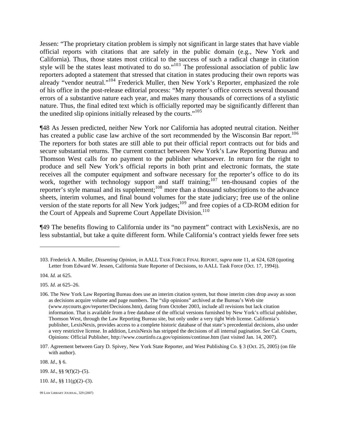Jessen: "The proprietary citation problem is simply not significant in large states that have viable official reports with citations that are safely in the public domain (e.g., New York and California). Thus, those states most critical to the success of such a radical change in citation style will be the states least motivated to do so."<sup>10[3](#page-23-0)</sup> The professional association of public law reporters adopted a statement that stressed that citation in states producing their own reports was already "vendor neutral."<sup>10[4](#page-23-1)</sup> Frederick Muller, then New York's Reporter, emphasized the role of his office in the post-release editorial process: "My reporter's office corrects several thousand errors of a substantive nature each year, and makes many thousands of corrections of a stylistic nature. Thus, the final edited text which is officially reported may be significantly different than the unedited slip opinions initially released by the courts."<sup>10[5](#page-23-2)</sup>

¶48 As Jessen predicted, neither New York nor California has adopted neutral citation. Neither has created a public case law archive of the sort recommended by the Wisconsin Bar report.<sup>10[6](#page-23-3)</sup> The reporters for both states are still able to put their official report contracts out for bids and secure substantial returns. The current contract between New York's Law Reporting Bureau and Thomson West calls for no payment to the publisher whatsoever. In return for the right to produce and sell New York's official reports in both print and electronic formats, the state receives all the computer equipment and software necessary for the reporter's office to do its work, together with technology support and staff training;<sup>10[7](#page-23-4)</sup> ten-thousand copies of the reporter's style manual and its supplement;<sup>10[8](#page-23-5)</sup> more than a thousand subscriptions to the advance sheets, interim volumes, and final bound volumes for the state judiciary; free use of the online version of the state reports for all New York judges;  $109$  $109$  and free copies of a CD-ROM edition for the Court of Appeals and Supreme Court Appellate Division.<sup>11[0](#page-23-7)</sup>

¶49 The benefits flowing to California under its "no payment" contract with LexisNexis, are no less substantial, but take a quite different form. While California's contract yields fewer free sets

 $\overline{a}$ 

<span id="page-23-5"></span>108. *Id*., § 6.

<span id="page-23-6"></span>109. *Id*., §§ 9(f)(2)–(5).

<span id="page-23-7"></span>110. *Id*., §§ 11(g)(2)–(3).

<span id="page-23-0"></span><sup>103.</sup> Frederick A. Muller, *Dissenting Opinion*, *in* AALL TASK FORCE FINAL REPORT, *supra* note 11, at 624, 628 (quoting Letter from Edward W. Jessen, California State Reporter of Decisions, to AALL Task Force (Oct. 17, 1994)).

<span id="page-23-1"></span><sup>104.</sup> *Id.* at 625.

<span id="page-23-2"></span><sup>105.</sup> *Id*. at 625–26.

<span id="page-23-3"></span><sup>106.</sup> The New York Law Reporting Bureau does use an interim citation system, but those interim cites drop away as soon as decisions acquire volume and page numbers. The "slip opinions" archived at the Bureau's Web site (www.nycourts.gov/reporter/Decisions.htm), dating from October 2003, include all revisions but lack citation information. That is available from a free database of the official versions furnished by New York's official publisher, Thomson West, through the Law Reporting Bureau site, but only under a very tight Web license. California's publisher, LexisNexis, provides access to a complete historic database of that state's precedential decisions, also under a very restrictive license. In addition, LexisNexis has stripped the decisions of all internal pagination. *See* Cal. Courts, Opinions: Official Publisher, http://www.courtinfo.ca.gov/opinions/continue.htm (last visited Jan. 14, 2007).

<span id="page-23-4"></span><sup>107.</sup> Agreement between Gary D. Spivey, New York State Reporter, and West Publishing Co. § 3 (Oct. 25, 2005) (on file with author).

<sup>99</sup> LAW LIBRARY JOURNAL, 329 (2007)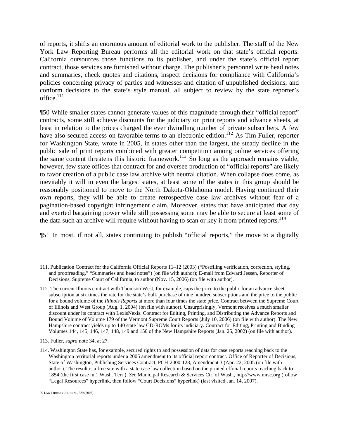of reports, it shifts an enormous amount of editorial work to the publisher. The staff of the New York Law Reporting Bureau performs all the editorial work on that state's official reports. California outsources those functions to its publisher, and under the state's official report contract, those services are furnished without charge. The publisher's personnel write head notes and summaries, check quotes and citations, inspect decisions for compliance with California's policies concerning privacy of parties and witnesses and citation of unpublished decisions, and conform decisions to the state's style manual, all subject to review by the state reporter's office. $111$  $111$ 

¶50 While smaller states cannot generate values of this magnitude through their "official report" contracts, some still achieve discounts for the judiciary on print reports and advance sheets, at least in relation to the prices charged the ever dwindling number of private subscribers. A few have also secured access on favorable terms to an electronic edition. <sup>11[2](#page-24-1)</sup> As Tim Fuller, reporter for Washington State, wrote in 2005, in states other than the largest, the steady decline in the public sale of print reports combined with greater competition among online services offering the same content threatens this historic framework.<sup>11[3](#page-24-2)</sup> So long as the approach remains viable, however, few state offices that contract for and oversee production of "official reports" are likely to favor creation of a public case law archive with neutral citation. When collapse does come, as inevitably it will in even the largest states, at least some of the states in this group should be reasonably positioned to move to the North Dakota-Oklahoma model. Having continued their own reports, they will be able to create retrospective case law archives without fear of a pagination-based copyright infringement claim. Moreover, states that have anticipated that day and exerted bargaining power while still possessing some may be able to secure at least some of the data such an archive will require without having to scan or key it from printed reports.<sup>11[4](#page-24-3)</sup>

¶51 In most, if not all, states continuing to publish "official reports," the move to a digitally

<span id="page-24-0"></span><sup>111.</sup> Publication Contract for the California Official Reports 11–12 (2003) ("Postfiling verification, correction, styling, and proofreading," "Summaries and head notes") (on file with author); E-mail from Edward Jessen, Reporter of Decisions, Supreme Court of California, to author (Nov. 15, 2006) (on file with author).

<span id="page-24-1"></span><sup>112.</sup> The current Illinois contract with Thomson West, for example, caps the price to the public for an advance sheet subscription at six times the rate for the state's bulk purchase of nine hundred subscriptions and the price to the public for a bound volume of the *Illinois Reports* at more than four times the state price. Contract between the Supreme Court of Illinois and West Group (Aug. 1, 2004) (on file with author). Unsurprisingly, Vermont receives a much smaller discount under its contract with LexisNexis. Contract for Editing, Printing, and Distributing the Advance Reports and Bound Volume of Volume 179 of the Vermont Supreme Court Reports (July 10, 2006) (on file with author). The New Hampshire contract yields up to 140 state law CD-ROMs for its judiciary. Contract for Editing, Printing and Binding Volumes 144, 145, 146, 147, 148, 149 and 150 of the New Hampshire Reports (Jan. 25, 2002) (on file with author).

<span id="page-24-2"></span><sup>113.</sup> Fuller, *supra* note 34, at 27.

<span id="page-24-3"></span><sup>114.</sup> Washington State has, for example, secured rights to and possession of data for case reports reaching back to the Washington territorial reports under a 2005 amendment to its official report contract. Office of Reporter of Decisions, State of Washington, Publishing Services Contract, PCH-2000-128, Amendment 3 (Apr. 22, 2005 (on file with author). The result is a free site with a state case law collection based on the printed official reports reaching back to 1854 (the first case in 1 Wash. Terr.). *See* Municipal Research & Services Ctr. of Wash., http://www.mrsc.org (follow "Legal Resources" hyperlink, then follow "Court Decisions" hyperlink) (last visited Jan. 14, 2007).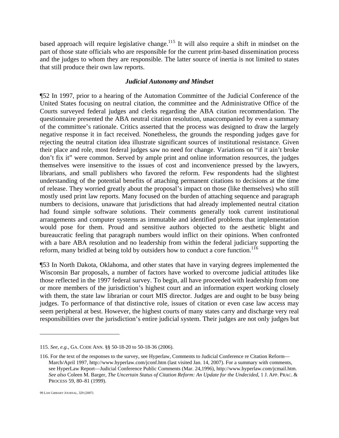based approach will require legislative change.<sup>11[5](#page-25-0)</sup> It will also require a shift in mindset on the part of those state officials who are responsible for the current print-based dissemination process and the judges to whom they are responsible. The latter source of inertia is not limited to states that still produce their own law reports.

### *Judicial Autonomy and Mindset*

¶52 In 1997, prior to a hearing of the Automation Committee of the Judicial Conference of the United States focusing on neutral citation, the committee and the Administrative Office of the Courts surveyed federal judges and clerks regarding the ABA citation recommendation. The questionnaire presented the ABA neutral citation resolution, unaccompanied by even a summary of the committee's rationale. Critics asserted that the process was designed to draw the largely negative response it in fact received. Nonetheless, the grounds the responding judges gave for rejecting the neutral citation idea illustrate significant sources of institutional resistance. Given their place and role, most federal judges saw no need for change. Variations on "if it ain't broke don't fix it" were common. Served by ample print and online information resources, the judges themselves were insensitive to the issues of cost and inconvenience pressed by the lawyers, librarians, and small publishers who favored the reform. Few respondents had the slightest understanding of the potential benefits of attaching permanent citations to decisions at the time of release. They worried greatly about the proposal's impact on those (like themselves) who still mostly used print law reports. Many focused on the burden of attaching sequence and paragraph numbers to decisions, unaware that jurisdictions that had already implemented neutral citation had found simple software solutions. Their comments generally took current institutional arrangements and computer systems as immutable and identified problems that implementation would pose for them. Proud and sensitive authors objected to the aesthetic blight and bureaucratic feeling that paragraph numbers would inflict on their opinions. When confronted with a bare ABA resolution and no leadership from within the federal judiciary supporting the reform, many bridled at being told by outsiders how to conduct a core function.<sup>11[6](#page-25-1)</sup>

¶53 In North Dakota, Oklahoma, and other states that have in varying degrees implemented the Wisconsin Bar proposals, a number of factors have worked to overcome judicial attitudes like those reflected in the 1997 federal survey. To begin, all have proceeded with leadership from one or more members of the jurisdiction's highest court and an information expert working closely with them, the state law librarian or court MIS director. Judges are and ought to be busy being judges. To performance of that distinctive role, issues of citation or even case law access may seem peripheral at best. However, the highest courts of many states carry and discharge very real responsibilities over the jurisdiction's entire judicial system. Their judges are not only judges but

<span id="page-25-0"></span><sup>115.</sup> *See, e.g.*, GA. CODE ANN. §§ 50-18-20 to 50-18-36 (2006).

<span id="page-25-1"></span><sup>116.</sup> For the text of the responses to the survey, see Hyperlaw, Comments to Judicial Conference re Citation Reform— March/April 1997, http://www.hyperlaw.com/jconf.htm (last visited Jan. 14, 2007). For a summary with comments, see HyperLaw Report—Judicial Conference Public Comments (Mar. 24,1996), http://www.hyperlaw.com/jcmail.htm. *See also* Coleen M. Barger, *The Uncertain Status of Citation Reform: An Update for the Undecided*, 1 J. APP. PRAC. & PROCESS 59, 80–81 (1999).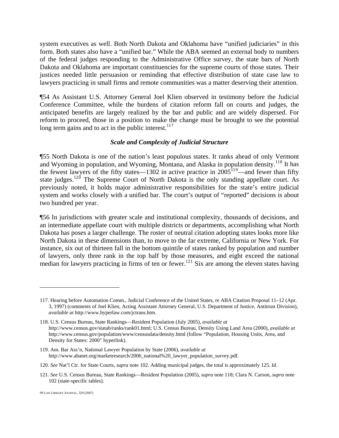system executives as well. Both North Dakota and Oklahoma have "unified judiciaries" in this form. Both states also have a "unified bar." While the ABA seemed an external body to numbers of the federal judges responding to the Administrative Office survey, the state bars of North Dakota and Oklahoma are important constituencies for the supreme courts of those states. Their justices needed little persuasion or reminding that effective distribution of state case law to lawyers practicing in small firms and remote communities was a matter deserving their attention.

¶54 As Assistant U.S. Attorney General Joel Klien observed in testimony before the Judicial Conference Committee, while the burdens of citation reform fall on courts and judges, the anticipated benefits are largely realized by the bar and public and are widely dispersed. For reform to proceed, those in a position to make the change must be brought to see the potential long term gains and to act in the public interest. $117$  $117$ 

#### *Scale and Complexity of Judicial Structure*

¶55 North Dakota is one of the nation's least populous states. It ranks ahead of only Vermont and Wyoming in population, and Wyoming, Montana, and Alaska in population density.<sup>11[8](#page-26-1)</sup> It has the fewest lawyers of the fifty states—1302 in active practice in  $2005^{119}$  $2005^{119}$  $2005^{119}$ —and fewer than fifty state judges.<sup>12[0](#page-26-3)</sup> The Supreme Court of North Dakota is the only standing appellate court. As previously noted, it holds major administrative responsibilities for the state's entire judicial system and works closely with a unified bar. The court's output of "reported" decisions is about two hundred per year.

¶56 In jurisdictions with greater scale and institutional complexity, thousands of decisions, and an intermediate appellate court with multiple districts or departments, accomplishing what North Dakota has poses a larger challenge. The roster of neutral citation adopting states looks more like North Dakota in these dimensions than, to move to the far extreme, California or New York. For instance, six out of thirteen fall in the bottom quintile of states ranked by population and number of lawyers, only three rank in the top half by those measures, and eight exceed the national median for lawyers practicing in firms of ten or fewer.<sup>[1](#page-26-4)21</sup> Six are among the eleven states having

<span id="page-26-0"></span><sup>117.</sup> Hearing before Automation Comm., Judicial Conference of the United States, re ABA Citation Proposal 11–12 (Apr. 3, 1997) (comments of Joel Klien, Acting Assistant Attorney General, U.S. Department of Justice, Antitrust Division), *available at* http://www.hyperlaw.com/jctrans.htm.

<span id="page-26-1"></span><sup>118.</sup> U.S. Census Bureau, State Rankings—Resident Population (July 2005), *available at* http://www.census.gov/statab/ranks/rank01.html; U.S. Census Bureau, Density Using Land Area (2000), *available at* http://www.census.gov/population/www/censusdata/density.html (follow "Population, Housing Units, Area, and Density for States: 2000" hyperlink).

<span id="page-26-2"></span><sup>119.</sup> Am. Bar Ass'n, National Lawyer Population by State (2006), *available at* http://www.abanet.org/marketresearch/2006\_national%20\_lawyer\_population\_survey.pdf.

<span id="page-26-3"></span><sup>120.</sup> *See* Nat'l Ctr. for State Courts, *supra* note 102. Adding municipal judges, the total is approximately 125. *Id*.

<span id="page-26-4"></span><sup>121.</sup> *See* U.S. Census Bureau, State Rankings—Resident Population (2005), *supra* note 118; Clara N. Carson, *supra* note 102 (state-specific tables).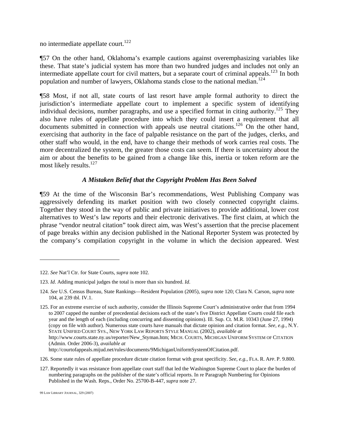no intermediate appellate court. $^{122}$  $^{122}$  $^{122}$ 

¶57 On the other hand, Oklahoma's example cautions against overemphasizing variables like these. That state's judicial system has more than two hundred judges and includes not only an intermediate appellate court for civil matters, but a separate court of criminal appeals.<sup>12[3](#page-27-1)</sup> In both population and number of lawyers, Oklahoma stands close to the national median.<sup>12[4](#page-27-2)</sup>

¶58 Most, if not all, state courts of last resort have ample formal authority to direct the jurisdiction's intermediate appellate court to implement a specific system of identifying individual decisions, number paragraphs, and use a specified format in citing authority.<sup>12[5](#page-27-3)</sup> They also have rules of appellate procedure into which they could insert a requirement that all documents submitted in connection with appeals use neutral citations.<sup>12[6](#page-27-4)</sup> On the other hand, exercising that authority in the face of palpable resistance on the part of the judges, clerks, and other staff who would, in the end, have to change their methods of work carries real costs. The more decentralized the system, the greater those costs can seem. If there is uncertainty about the aim or about the benefits to be gained from a change like this, inertia or token reform are the most likely results. $127$  $127$ 

# *A Mistaken Belief that the Copyright Problem Has Been Solved*

¶59 At the time of the Wisconsin Bar's recommendations, West Publishing Company was aggressively defending its market position with two closely connected copyright claims. Together they stood in the way of public and private initiatives to provide additional, lower cost alternatives to West's law reports and their electronic derivatives. The first claim, at which the phrase "vendor neutral citation" took direct aim, was West's assertion that the precise placement of page breaks within any decision published in the National Reporter System was protected by the company's compilation copyright in the volume in which the decision appeared. West

http://courtofappeals.mijud.net/rules/documents/9MichiganUniformSystemOfCitation.pdf.

<span id="page-27-4"></span>126. Some state rules of appellate procedure dictate citation format with great specificity. *See, e.g.*, FLA. R. APP. P. 9.800.

<span id="page-27-5"></span>127. Reportedly it was resistance from appellate court staff that led the Washington Supreme Court to place the burden of numbering paragraphs on the publisher of the state's official reports. In re Paragraph Numbering for Opinions Published in the Wash. Reps., Order No. 25700-B-447, *supra* note 27.

99 LAW LIBRARY JOURNAL, 329 (2007)

<span id="page-27-0"></span><sup>122.</sup> *See* Nat'l Ctr. for State Courts, *supra* note 102.

<span id="page-27-1"></span><sup>123.</sup> *Id*. Adding municipal judges the total is more than six hundred. *Id*.

<span id="page-27-2"></span><sup>124.</sup> *See* U.S. Census Bureau, State Rankings—Resident Population (2005), *supra* note 120; Clara N. Carson, *supra* note 104, at 239 tbl. IV.1.

<span id="page-27-3"></span><sup>125.</sup> For an extreme exercise of such authority, consider the Illinois Supreme Court's administrative order that from 1994 to 2007 capped the number of precedential decisions each of the state's five District Appellate Courts could file each year and the length of each (including concurring and dissenting opinions). Ill. Sup. Ct. M.R. 10343 (June 27, 1994) (copy on file with author). Numerous state courts have manuals that dictate opinion and citation format. *See, e.g.*, N.Y. STATE UNIFIED COURT SYS., NEW YORK LAW REPORTS STYLE MANUAL (2002), *available at* http://www.courts.state.ny.us/reporter/New\_Styman.htm; MICH. COURTS, MICHIGAN UNIFORM SYSTEM OF CITATION (Admin. Order 2006-3), *available at*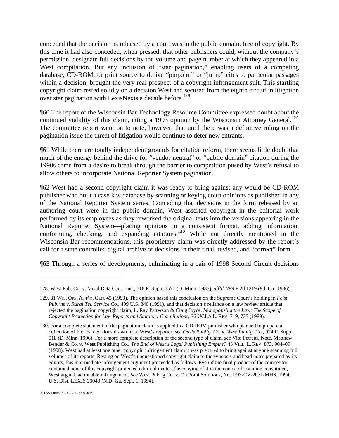conceded that the decision as released by a court was in the public domain, free of copyright. By this time it had also conceded, when pressed, that other publishers could, without the company's permission, designate full decisions by the volume and page number at which they appeared in a West compilation. But any inclusion of "star pagination," enabling users of a competing database, CD-ROM, or print source to derive "pinpoint" or "jump" cites to particular passages within a decision, brought the very real prospect of a copyright infringement suit. This startling copyright claim rested solidly on a decision West had secured from the eighth circuit in litigation over star pagination with LexisNexis a decade before.<sup>12[8](#page-28-0)</sup>

¶60 The report of the Wisconsin Bar Technology Resource Committee expressed doubt about the continued viability of this claim, citing a 1[9](#page-28-1)93 opinion by the Wisconsin Attorney General.<sup>129</sup> The committee report went on to note, however, that until there was a definitive ruling on the pagination issue the threat of litigation would continue to deter new entrants.

¶61 While there are totally independent grounds for citation reform, there seems little doubt that much of the energy behind the drive for "vendor neutral" or "public domain" citation during the 1990s came from a desire to break through the barrier to competition posed by West's refusal to allow others to incorporate National Reporter System pagination.

¶62 West had a second copyright claim it was ready to bring against any would be CD-ROM publisher who built a case law database by scanning or keying court opinions as published in any of the National Reporter System series. Conceding that decisions in the form released by an authoring court were in the public domain, West asserted copyright in the editorial work performed by its employees as they reworked the original texts into the versions appearing in the National Reporter System—placing opinions in a consistent format, adding information, conforming, checking, and expanding citations.<sup>13[0](#page-28-2)</sup> While not directly mentioned in the Wisconsin Bar recommendations, this proprietary claim was directly addressed by the report's call for a state controlled digital archive of decisions in their final, revised, and "correct" form.

¶63 Through a series of developments, culminating in a pair of 1998 Second Circuit decisions

<span id="page-28-0"></span><sup>128.</sup> West Pub. Co. v. Mead Data Cent., Inc., 616 F. Supp. 1571 (D. Minn. 1985), *aff'd*, 799 F.2d 1219 (8th Cir. 1986).

<span id="page-28-1"></span><sup>129. 81</sup> WIS. OPS. ATT'Y. GEN. 45 (1993). The opinion based this conclusion on the Supreme Court's holding in *Feist Publ'ns v. Rural Tel. Service Co.*, 499 U.S. 340 (1991), and that decision's reliance on a law review article that rejected the pagination copyright claim, L. Ray Patterson & Craig Joyce, *Monopolizing the Law: The Scope of Copyright Protection for Law Reports and Statutory Compilations*, 36 UCLA L. REV. 719, 735 (1989).

<span id="page-28-2"></span><sup>130.</sup> For a complete statement of the pagination claim as applied to a CD-ROM publisher who planned to prepare a collection of Florida decisions drawn from West's reporter, see *Oasis Publ'g. Co. v. West Publ'g. Co.*, 924 F. Supp. 918 (D. Minn. 1996). For a more complete description of the second type of claim, see Vito Petretti, Note, Matthew Bender & Co. v. West Publishing Co.*: The End of West's Legal Publishing Empire?* 43 VILL. L. REV. 873, 904–09 (1998). West had at least one other copyright infringement claim it was prepared to bring against anyone scanning full volumes of its reports. Resting on West's unquestioned copyright claim to the synopsis and head notes prepared by its editors, this intermediate infringement argument proceeded as follows. Even if the final product of the competitor contained none of this copyright protected editorial matter, the copying of it in the course of scanning constituted, West argued, actionable infringement. *See* West Publ'g Co. v. On Point Solutions, No. 1:93-CV-2071-MHS, 1994 U.S. Dist. LEXIS 20040 (N.D. Ga. Sept. 1, 1994).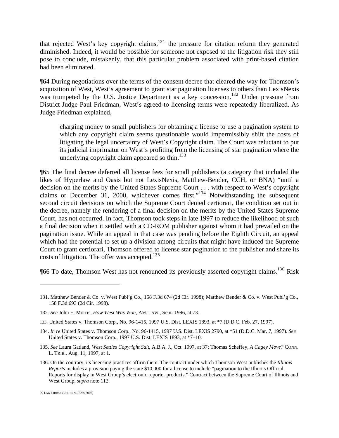that rejected West's key copyright claims, $131$  $131$  the pressure for citation reform they generated diminished. Indeed, it would be possible for someone not exposed to the litigation risk they still pose to conclude, mistakenly, that this particular problem associated with print-based citation had been eliminated.

¶64 During negotiations over the terms of the consent decree that cleared the way for Thomson's acquisition of West, West's agreement to grant star pagination licenses to others than LexisNexis was trumpeted by the U.S. Justice Department as a key concession.<sup>13[2](#page-29-1)</sup> Under pressure from District Judge Paul Friedman, West's agreed-to licensing terms were repeatedly liberalized. As Judge Friedman explained,

charging money to small publishers for obtaining a license to use a pagination system to which any copyright claim seems questionable would impermissibly shift the costs of litigating the legal uncertainty of West's Copyright claim. The Court was reluctant to put its judicial imprimatur on West's profiting from the licensing of star pagination where the underlying copyright claim appeared so thin.<sup>1[3](#page-29-2)3</sup>

¶65 The final decree deferred all license fees for small publishers (a category that included the likes of Hyperlaw and Oasis but not LexisNexis, Matthew-Bender, CCH, or BNA) "until a decision on the merits by the United States Supreme Court . . . with respect to West's copyright claims or December 31, 2000, whichever comes first."<sup>13[4](#page-29-3)</sup> Notwithstanding the subsequent second circuit decisions on which the Supreme Court denied certiorari, the condition set out in the decree, namely the rendering of a final decision on the merits by the United States Supreme Court, has not occurred. In fact, Thomson took steps in late 1997 to reduce the likelihood of such a final decision when it settled with a CD-ROM publisher against whom it had prevailed on the pagination issue. While an appeal in that case was pending before the Eighth Circuit, an appeal which had the potential to set up a division among circuits that might have induced the Supreme Court to grant certiorari, Thomson offered to license star pagination to the publisher and share its costs of litigation. The offer was accepted.<sup>13[5](#page-29-4)</sup>

**[[6](#page-29-5)6 To date, Thomson West has not renounced its previously asserted copyright claims.**<sup>136</sup> Risk

<u>.</u>

<span id="page-29-0"></span><sup>131.</sup> Matthew Bender & Co. v. West Publ'g Co., 158 F.3d 674 (2d Cir. 1998); Matthew Bender & Co. v. West Publ'g Co., 158 F.3d 693 (2d Cir. 1998).

<span id="page-29-1"></span><sup>132.</sup> *See* John E. Morris, *How West Was Won*, AM. LAW., Sept. 1996, at 73.

<span id="page-29-2"></span><sup>133.</sup> United States v. Thomson Corp., No. 96-1415, 1997 U.S. Dist. LEXIS 1893, at \*7 (D.D.C. Feb. 27, 1997).

<span id="page-29-3"></span><sup>134.</sup> *In re* United States v. Thomson Corp., No. 96-1415, 1997 U.S. Dist. LEXIS 2790, at \*51 (D.D.C. Mar. 7, 1997). *See* United States v. Thomson Corp., 1997 U.S. Dist. LEXIS 1893, at \*7–10.

<span id="page-29-4"></span><sup>135.</sup> *See* Laura Gatland, *West Settles Copyright Suit*, A.B.A. J., Oct. 1997, at 37; Thomas Scheffey, *A Cagey Move?* CONN. L. TRIB., Aug. 11, 1997, at 1.

<span id="page-29-5"></span><sup>136.</sup> On the contrary, its licensing practices affirm them. The contract under which Thomson West publishes the *Illinois Reports* includes a provision paying the state \$10,000 for a license to include "pagination to the Illinois Official Reports for display in West Group's electronic reporter products." Contract between the Supreme Court of Illinois and West Group, *supra* note 112.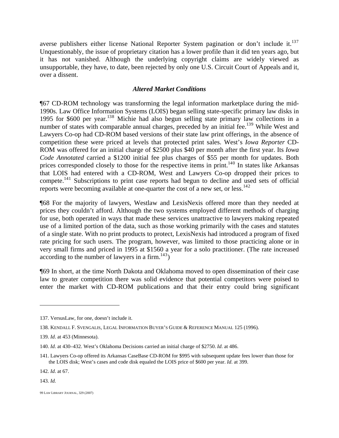averse publishers either license National Reporter System pagination or don't include it.<sup>13[7](#page-30-0)</sup> Unquestionably, the issue of proprietary citation has a lower profile than it did ten years ago, but it has not vanished. Although the underlying copyright claims are widely viewed as unsupportable, they have, to date, been rejected by only one U.S. Circuit Court of Appeals and it, over a dissent.

# *Altered Market Conditions*

¶67 CD-ROM technology was transforming the legal information marketplace during the mid-1990s. Law Office Information Systems (LOIS) began selling state-specific primary law disks in 1995 for \$600 per year.<sup>13[8](#page-30-1)</sup> Michie had also begun selling state primary law collections in a number of states with comparable annual charges, preceded by an initial fee.<sup>13[9](#page-30-2)</sup> While West and Lawyers Co-op had CD-ROM based versions of their state law print offerings, in the absence of competition these were priced at levels that protected print sales. West's *Iowa Reporter* CD-ROM was offered for an initial charge of \$2500 plus \$40 per month after the first year. Its *Iowa Code Annotated* carried a \$1200 initial fee plus charges of \$55 per month for updates. Both prices corresponded closely to those for the respective items in print.<sup>14[0](#page-30-3)</sup> In states like Arkansas that LOIS had entered with a CD-ROM, West and Lawyers Co-op dropped their prices to compete.<sup>[1](#page-30-4)41</sup> Subscriptions to print case reports had begun to decline and used sets of official reports were becoming available at one-quarter the cost of a new set, or less.<sup>14[2](#page-30-5)</sup>

¶68 For the majority of lawyers, Westlaw and LexisNexis offered more than they needed at prices they couldn't afford. Although the two systems employed different methods of charging for use, both operated in ways that made these services unattractive to lawyers making repeated use of a limited portion of the data, such as those working primarily with the cases and statutes of a single state. With no print products to protect, LexisNexis had introduced a program of fixed rate pricing for such users. The program, however, was limited to those practicing alone or in very small firms and priced in 1995 at \$1560 a year for a solo practitioner. (The rate increased according to the number of lawyers in a firm. $^{143}$  $^{143}$  $^{143}$ )

¶69 In short, at the time North Dakota and Oklahoma moved to open dissemination of their case law to greater competition there was solid evidence that potential competitors were poised to enter the market with CD-ROM publications and that their entry could bring significant

<span id="page-30-5"></span>142. *Id*. at 67.

<span id="page-30-6"></span>143. *Id.*

<span id="page-30-0"></span><sup>137.</sup> VersusLaw, for one, doesn't include it.

<span id="page-30-1"></span><sup>138.</sup> KENDALL F. SVENGALIS, LEGAL INFORMATION BUYER'S GUIDE & REFERENCE MANUAL 125 (1996).

<span id="page-30-2"></span><sup>139.</sup> *Id*. at 453 (Minnesota).

<span id="page-30-3"></span><sup>140.</sup> *Id*. at 430–432. West's Oklahoma Decisions carried an initial charge of \$2750. *Id*. at 486.

<span id="page-30-4"></span><sup>141.</sup> Lawyers Co-op offered its Arkansas CaseBase CD-ROM for \$995 with subsequent update fees lower than those for the LOIS disk; West's cases and code disk equaled the LOIS price of \$600 per year. *Id*. at 399.

<sup>99</sup> LAW LIBRARY JOURNAL, 329 (2007)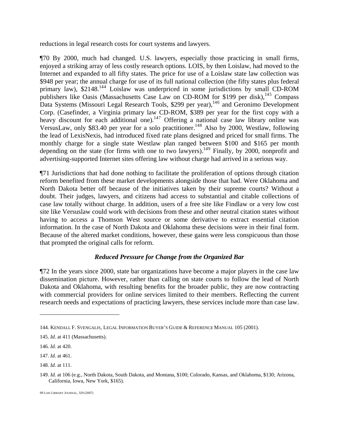reductions in legal research costs for court systems and lawyers.

¶70 By 2000, much had changed. U.S. lawyers, especially those practicing in small firms, enjoyed a striking array of less costly research options. LOIS, by then Loislaw, had moved to the Internet and expanded to all fifty states. The price for use of a Loislaw state law collection was \$948 per year; the annual charge for use of its full national collection (the fifty states plus federal primary law), \$21[4](#page-31-0)8.<sup>144</sup> Loislaw was underpriced in some jurisdictions by small CD-ROM publishers like Oasis (Massachusetts Case Law on CD-ROM for \$199 per disk),<sup>14[5](#page-31-1)</sup> Compass Data Systems (Missouri Legal Research Tools, \$299 per year),<sup>14[6](#page-31-2)</sup> and Geronimo Development Corp. (Casefinder, a Virginia primary law CD-ROM, \$389 per year for the first copy with a heavy discount for each additional one).<sup>14[7](#page-31-3)</sup> Offering a national case law library online was VersusLaw, only \$[8](#page-31-4)3.40 per year for a solo practitioner.<sup>148</sup> Also by 2000, Westlaw, following the lead of LexisNexis, had introduced fixed rate plans designed and priced for small firms. The monthly charge for a single state Westlaw plan ranged between \$100 and \$165 per month depending on the state (for firms with one to two lawyers).<sup>14[9](#page-31-5)</sup> Finally, by 2000, nonprofit and advertising-supported Internet sites offering law without charge had arrived in a serious way.

¶71 Jurisdictions that had done nothing to facilitate the proliferation of options through citation reform benefited from these market developments alongside those that had. Were Oklahoma and North Dakota better off because of the initiatives taken by their supreme courts? Without a doubt. Their judges, lawyers, and citizens had access to substantial and citable collections of case law totally without charge. In addition, users of a free site like Findlaw or a very low cost site like Versuslaw could work with decisions from these and other neutral citation states without having to access a Thomson West source or some derivative to extract essential citation information. In the case of North Dakota and Oklahoma these decisions were in their final form. Because of the altered market conditions, however, these gains were less conspicuous than those that prompted the original calls for reform.

# *Reduced Pressure for Change from the Organized Bar*

¶72 In the years since 2000, state bar organizations have become a major players in the case law dissemination picture. However, rather than calling on state courts to follow the lead of North Dakota and Oklahoma, with resulting benefits for the broader public, they are now contracting with commercial providers for online services limited to their members. Reflecting the current research needs and expectations of practicing lawyers, these services include more than case law.

 $\overline{a}$ 

<span id="page-31-4"></span>148. *Id*. at 111.

<span id="page-31-0"></span><sup>144.</sup> KENDALL F. SVENGALIS, LEGAL INFORMATION BUYER'S GUIDE & REFERENCE MANUAL 105 (2001).

<span id="page-31-1"></span><sup>145.</sup> *Id*. at 411 (Massachusetts).

<span id="page-31-2"></span><sup>146.</sup> *Id*. at 420.

<span id="page-31-3"></span><sup>147.</sup> *Id*. at 461.

<span id="page-31-5"></span><sup>149.</sup> *Id*. at 106 (e.g., North Dakota, South Dakota, and Montana, \$100; Colorado, Kansas, and Oklahoma, \$130; Arizona, California, Iowa, New York, \$165).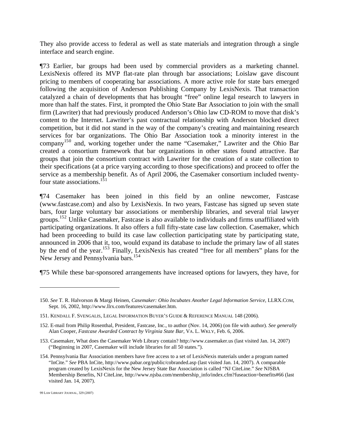They also provide access to federal as well as state materials and integration through a single interface and search engine.

¶73 Earlier, bar groups had been used by commercial providers as a marketing channel. LexisNexis offered its MVP flat-rate plan through bar associations; Loislaw gave discount pricing to members of cooperating bar associations. A more active role for state bars emerged following the acquisition of Anderson Publishing Company by LexisNexis. That transaction catalyzed a chain of developments that has brought "free" online legal research to lawyers in more than half the states. First, it prompted the Ohio State Bar Association to join with the small firm (Lawriter) that had previously produced Anderson's Ohio law CD-ROM to move that disk's content to the Internet. Lawriter's past contractual relationship with Anderson blocked direct competition, but it did not stand in the way of the company's creating and maintaining research services for bar organizations. The Ohio Bar Association took a minority interest in the company<sup>15[0](#page-32-0)</sup> and, working together under the name "Casemaker," Lawriter and the Ohio Bar created a consortium framework that bar organizations in other states found attractive. Bar groups that join the consortium contract with Lawriter for the creation of a state collection to their specifications (at a price varying according to those specifications) and proceed to offer the service as a membership benefit. As of April 2006, the Casemaker consortium included twentyfour state associations.15[1](#page-32-1)

¶74 Casemaker has been joined in this field by an online newcomer, Fastcase (www.fastcase.com) and also by LexisNexis. In two years, Fastcase has signed up seven state bars, four large voluntary bar associations or membership libraries, and several trial lawyer groups.<sup>15[2](#page-32-2)</sup> Unlike Casemaker, Fastcase is also available to individuals and firms unaffiliated with participating organizations. It also offers a full fifty-state case law collection. Casemaker, which had been proceeding to build its case law collection participating state by participating state, announced in 2006 that it, too, would expand its database to include the primary law of all states by the end of the year.<sup>15[3](#page-32-3)</sup> Finally, LexisNexis has created "free for all members" plans for the New Jersey and Pennsylvania bars.<sup>15[4](#page-32-4)</sup>

¶75 While these bar-sponsored arrangements have increased options for lawyers, they have, for

<span id="page-32-0"></span><sup>150.</sup> *See* T. R. Halvorson & Margi Heinen, *Casemaker: Ohio Incubates Another Legal Information Service*, LLRX.COM, Sept. 16, 2002, http://www.llrx.com/features/casemaker.htm.

<span id="page-32-1"></span><sup>151.</sup> KENDALL F. SVENGALIS, LEGAL INFORMATION BUYER'S GUIDE & REFERENCE MANUAL 148 (2006).

<span id="page-32-2"></span><sup>152.</sup> E-mail from Philip Rosenthal, President, Fastcase, Inc., to author (Nov. 14, 2006) (on file with author). *See generally* Alan Cooper, *Fastcase Awarded Contract by Virginia State Bar*, VA. L. WKLY, Feb. 6, 2006.

<span id="page-32-3"></span><sup>153.</sup> Casemaker, What does the Casemaker Web Library contain? http://www.casemaker.us (last visited Jan. 14, 2007) ("Beginning in 2007, Casemaker will include libraries for all 50 states.").

<span id="page-32-4"></span><sup>154.</sup> Pennsylvania Bar Association members have free access to a set of LexisNexis materials under a program named "InCite." *See* PBA InCite, http://www.pabar.org/public/cobranded.asp (last visited Jan. 14, 2007). A comparable program created by LexisNexis for the New Jersey State Bar Association is called "NJ CiteLine." *See* NJSBA Membership Benefits, NJ CiteLine, http://www.njsba.com/membership\_info/index.cfm?fuseaction=benefits#66 (last visited Jan. 14, 2007).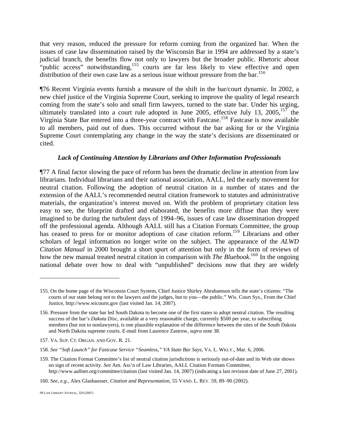that very reason, reduced the pressure for reform coming from the organized bar. When the issues of case law dissemination raised by the Wisconsin Bar in 1994 are addressed by a state's judicial branch, the benefits flow not only to lawyers but the broader public. Rhetoric about "public access" notwithstanding,<sup>1[5](#page-33-0)5</sup> courts are far less likely to view effective and open distribution of their own case law as a serious issue without pressure from the bar.<sup>15[6](#page-33-1)</sup>

¶76 Recent Virginia events furnish a measure of the shift in the bar/court dynamic. In 2002, a new chief justice of the Virginia Supreme Court, seeking to improve the quality of legal research coming from the state's solo and small firm lawyers, turned to the state bar. Under his urging, ultimately translated into a court rule adopted in June 2005, effective July 13, 2005,  $157$  $157$  the Virginia State Bar entered into a three-year contract with Fastcase.<sup>15[8](#page-33-3)</sup> Fastcase is now available to all members, paid out of dues. This occurred without the bar asking for or the Virginia Supreme Court contemplating any change in the way the state's decisions are disseminated or cited.

#### *Lack of Continuing Attention by Librarians and Other Information Professionals*

¶77 A final factor slowing the pace of reform has been the dramatic decline in attention from law librarians. Individual librarians and their national association, AALL, led the early movement for neutral citation. Following the adoption of neutral citation in a number of states and the extension of the AALL's recommended neutral citation framework to statutes and administrative materials, the organization's interest moved on. With the problem of proprietary citation less easy to see, the blueprint drafted and elaborated, the benefits more diffuse than they were imagined to be during the turbulent days of 1994–96, issues of case law dissemination dropped off the professional agenda. Although AALL still has a Citation Formats Committee, the group has ceased to press for or monitor adoptions of case citation reform.<sup>15[9](#page-33-4)</sup> Librarians and other scholars of legal information no longer write on the subject. The appearance of the *ALWD Citation Manual* in 2000 brought a short spurt of attention but only in the form of reviews of how the new manual treated neutral citation in comparison with *The Bluebook*.<sup>16[0](#page-33-5)</sup> In the ongoing national debate over how to deal with "unpublished" decisions now that they are widely

<span id="page-33-0"></span><sup>155.</sup> On the home page of the Wisconsin Court System, Chief Justice Shirley Abrahamson tells the state's citizens: "The courts of our state belong not to the lawyers and the judges, but to you—the public." Wis. Court Sys., From the Chief Justice, http://www.wicourts.gov (last visited Jan. 14, 2007).

<span id="page-33-1"></span><sup>156.</sup> Pressure from the state bar led South Dakota to become one of the first states to adopt neutral citation. The resulting success of the bar's *Dakota Disc*, available at a very reasonable charge, currently \$500 per year, to subscribing members (but not to nonlawyers), is one plausible explanation of the difference between the sites of the South Dakota and North Dakota supreme courts. E-mail from Laurence Zastrow, *supra* note 38.

<span id="page-33-2"></span><sup>157.</sup> VA. SUP. CT. ORGAN. AND GOV. R. 21.

<span id="page-33-3"></span><sup>158.</sup> *See "Soft Launch" for Fastcase Service "Seamless," VA State Bar Says*, VA. L. WKLY., Mar. 6, 2006.

<span id="page-33-4"></span><sup>159.</sup> The Citation Format Committee's list of neutral citation jurisdictions is seriously out-of-date and its Web site shows no sign of recent activity. *See* Am. Ass'n of Law Libraries, AALL Citation Formats Committee, http://www.aallnet.org/committee/citation (last visited Jan. 14, 2007) (indicating a last revision date of June 27, 2001).

<span id="page-33-5"></span><sup>160.</sup> *See, e.g.*, Alex Glashausser, *Citation and Representation*, 55 VAND. L. REV. 59, 89–90 (2002).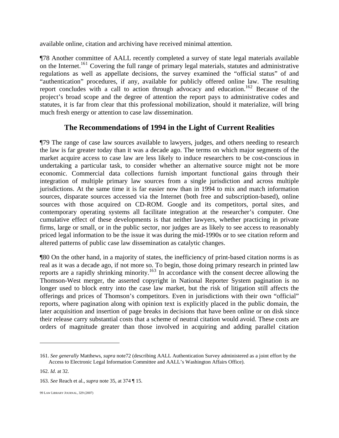available online, citation and archiving have received minimal attention.

¶78 Another committee of AALL recently completed a survey of state legal materials available on the Internet.<sup>[1](#page-34-0)61</sup> Covering the full range of primary legal materials, statutes and administrative regulations as well as appellate decisions, the survey examined the "official status" of and "authentication" procedures, if any, available for publicly offered online law. The resulting report concludes with a call to action through advocacy and education.<sup>16[2](#page-34-1)</sup> Because of the project's broad scope and the degree of attention the report pays to administrative codes and statutes, it is far from clear that this professional mobilization, should it materialize, will bring much fresh energy or attention to case law dissemination.

# **The Recommendations of 1994 in the Light of Current Realities**

¶79 The range of case law sources available to lawyers, judges, and others needing to research the law is far greater today than it was a decade ago. The terms on which major segments of the market acquire access to case law are less likely to induce researchers to be cost-conscious in undertaking a particular task, to consider whether an alternative source might not be more economic. Commercial data collections furnish important functional gains through their integration of multiple primary law sources from a single jurisdiction and across multiple jurisdictions. At the same time it is far easier now than in 1994 to mix and match information sources, disparate sources accessed via the Internet (both free and subscription-based), online sources with those acquired on CD-ROM. Google and its competitors, portal sites, and contemporary operating systems all facilitate integration at the researcher's computer. One cumulative effect of these developments is that neither lawyers, whether practicing in private firms, large or small, or in the public sector, nor judges are as likely to see access to reasonably priced legal information to be the issue it was during the mid-1990s or to see citation reform and altered patterns of public case law dissemination as catalytic changes.

¶80 On the other hand, in a majority of states, the inefficiency of print-based citation norms is as real as it was a decade ago, if not more so. To begin, those doing primary research in printed law reports are a rapidly shrinking minority.<sup>16[3](#page-34-2)</sup> In accordance with the consent decree allowing the Thomson-West merger, the asserted copyright in National Reporter System pagination is no longer used to block entry into the case law market, but the risk of litigation still affects the offerings and prices of Thomson's competitors. Even in jurisdictions with their own "official" reports, where pagination along with opinion text is explicitly placed in the public domain, the later acquisition and insertion of page breaks in decisions that have been online or on disk since their release carry substantial costs that a scheme of neutral citation would avoid. These costs are orders of magnitude greater than those involved in acquiring and adding parallel citation

<span id="page-34-0"></span><sup>161.</sup> *See generally* Matthews, *supra* note72 (describing AALL Authentication Survey administered as a joint effort by the Access to Electronic Legal Information Committee and AALL's Washington Affairs Office).

<span id="page-34-1"></span><sup>162.</sup> *Id*. at 32.

<span id="page-34-2"></span><sup>163.</sup> *See* Reach et al., *supra* note 35, at 374 ¶ 15.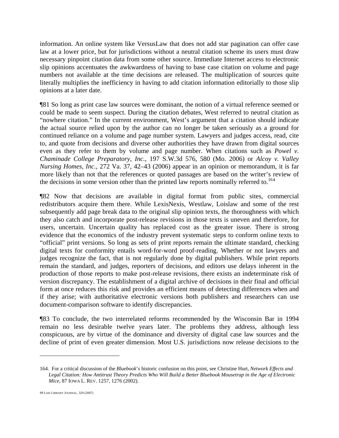information. An online system like VersusLaw that does not add star pagination can offer case law at a lower price, but for jurisdictions without a neutral citation scheme its users must draw necessary pinpoint citation data from some other source. Immediate Internet access to electronic slip opinions accentuates the awkwardness of having to base case citation on volume and page numbers not available at the time decisions are released. The multiplication of sources quite literally multiplies the inefficiency in having to add citation information editorially to those slip opinions at a later date.

¶81 So long as print case law sources were dominant, the notion of a virtual reference seemed or could be made to seem suspect. During the citation debates, West referred to neutral citation as "nowhere citation." In the current environment, West's argument that a citation should indicate the actual source relied upon by the author can no longer be taken seriously as a ground for continued reliance on a volume and page number system. Lawyers and judges access, read, cite to, and quote from decisions and diverse other authorities they have drawn from digital sources even as they refer to them by volume and page number. When citations such as *Powel v. Chaminade College Preparatory, Inc.*, 197 S.W.3d 576, 580 (Mo. 2006) or *Alcoy v. Valley Nursing Homes, Inc.*, 272 Va. 37, 42–43 (2006) appear in an opinion or memorandum, it is far more likely than not that the references or quoted passages are based on the writer's review of the decisions in some version other than the printed law reports nominally referred to.<sup>16[4](#page-35-0)</sup>

¶82 Now that decisions are available in digital format from public sites, commercial redistributors acquire them there. While LexisNexis, Westlaw, Loislaw and some of the rest subsequently add page break data to the original slip opinion texts, the thoroughness with which they also catch and incorporate post-release revisions in those texts is uneven and therefore, for users, uncertain. Uncertain quality has replaced cost as the greater issue. There is strong evidence that the economics of the industry prevent systematic steps to conform online texts to "official" print versions. So long as sets of print reports remain the ultimate standard, checking digital texts for conformity entails word-for-word proof-reading. Whether or not lawyers and judges recognize the fact, that is not regularly done by digital publishers. While print reports remain the standard, and judges, reporters of decisions, and editors use delays inherent in the production of those reports to make post-release revisions, there exists an indeterminate risk of version discrepancy. The establishment of a digital archive of decisions in their final and official form at once reduces this risk and provides an efficient means of detecting differences when and if they arise; with authoritative electronic versions both publishers and researchers can use document-comparison software to identify discrepancies.

¶83 To conclude, the two interrelated reforms recommended by the Wisconsin Bar in 1994 remain no less desirable twelve years later. The problems they address, although less conspicuous, are by virtue of the dominance and diversity of digital case law sources and the decline of print of even greater dimension. Most U.S. jurisdictions now release decisions to the

<span id="page-35-0"></span><sup>164.</sup> For a critical discussion of the *Bluebook*'s historic confusion on this point, see Christine Hurt, *Network Effects and Legal Citation: How Antitrust Theory Predicts Who Will Build a Better Bluebook Mousetrap in the Age of Electronic Mice*, 87 IOWA L. REV. 1257, 1276 (2002).